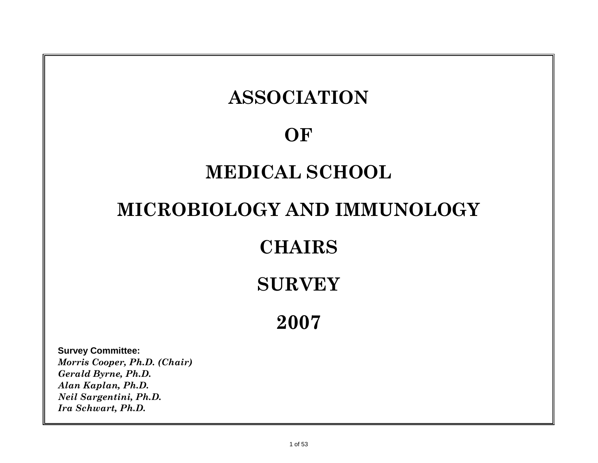# **ASSOCIATION OF MEDICAL SCHOOL MICROBIOLOGY AND IMMUNOLOGY**

## **CHAIRS**

## **SURVEY**

**2007**

**Survey Committee:** *Morris Cooper, Ph.D. (Chair) Gerald Byrne, Ph.D. Alan Kaplan, Ph.D. Neil Sargentini, Ph.D. Ira Schwart, Ph.D.*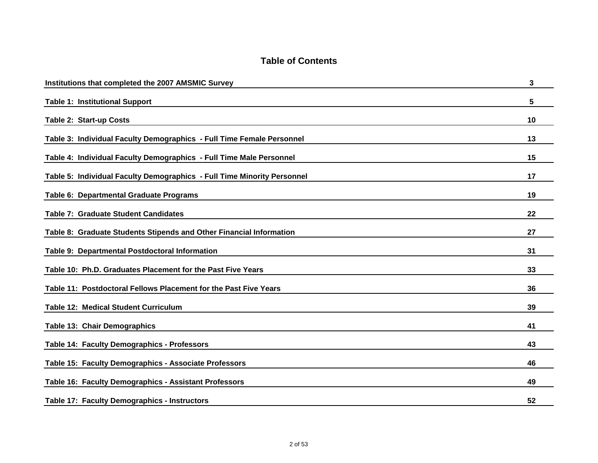| Institutions that completed the 2007 AMSMIC Survey                      | 3  |
|-------------------------------------------------------------------------|----|
| <b>Table 1: Institutional Support</b>                                   | 5  |
| <b>Table 2: Start-up Costs</b>                                          | 10 |
| Table 3: Individual Faculty Demographics - Full Time Female Personnel   | 13 |
| Table 4: Individual Faculty Demographics - Full Time Male Personnel     | 15 |
| Table 5: Individual Faculty Demographics - Full Time Minority Personnel | 17 |
| Table 6: Departmental Graduate Programs                                 | 19 |
| Table 7: Graduate Student Candidates                                    | 22 |
| Table 8: Graduate Students Stipends and Other Financial Information     | 27 |
| Table 9: Departmental Postdoctoral Information                          | 31 |
| Table 10: Ph.D. Graduates Placement for the Past Five Years             | 33 |
| Table 11: Postdoctoral Fellows Placement for the Past Five Years        | 36 |
| <b>Table 12: Medical Student Curriculum</b>                             | 39 |
| Table 13: Chair Demographics                                            | 41 |
| Table 14: Faculty Demographics - Professors                             | 43 |
| Table 15: Faculty Demographics - Associate Professors                   | 46 |
| Table 16: Faculty Demographics - Assistant Professors                   | 49 |
| Table 17: Faculty Demographics - Instructors                            | 52 |

### **Table of Contents**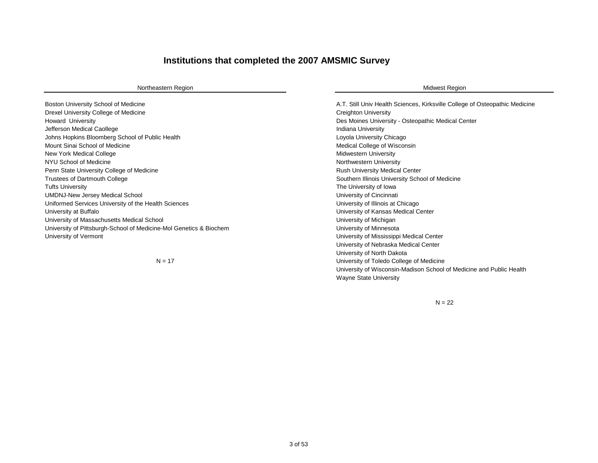#### **Institutions that completed the 2007 AMSMIC Survey**

#### Northeastern Region **Midwest Region** Northeastern Region and The Control of the Control of the Control of the Control of the Control of the Control of the Control of the Control of the Control of the Control of the Control

Boston University School of Medicine **A.T. Still Univ Health Sciences, Kirksville College of Osteopathic Medicine** Drexel University College of Medicine Creighton University Creighton University Howard University Des Moines University - Osteopathic Medical Center Jefferson Medical Caollege **Indiana University Indiana University Indiana University** Johns Hopkins Bloomberg School of Public Health Loyola University Chicago Chicago Chicago Loyola University Chicago Mount Sinai School of Medicine **Medical College of Wisconsin** Medical College of Wisconsin New York Medical College Midwestern University and the Midwestern University of the Midwestern University NYU School of Medicine Northwestern University Penn State University College of Medicine Rush University Medical Center Rush University Medical Center Trustees of Dartmouth College Southern Illinois University School of Medicine Tufts University **Tube Intervention** The University of Iowa UMDNJ-New Jersey Medical School **Disk and American** School University of Cincinnati Uniformed Services University of the Health Sciences University of Illinois at Chicago University at Buffalo University of Kansas Medical Center University of Massachusetts Medical School **Discussion Control Control Control Control** University of Michigan University of Pittsburgh-School of Medicine-Mol Genetics & Biochem University of Minnesota University of Vermont University of Mississippi Medical Center

 $N = 17$ 

University of Nebraska Medical Center University of North Dakota University of Toledo College of Medicine University of Wisconsin-Madison School of Medicine and Public Health Wayne State University

 $N = 22$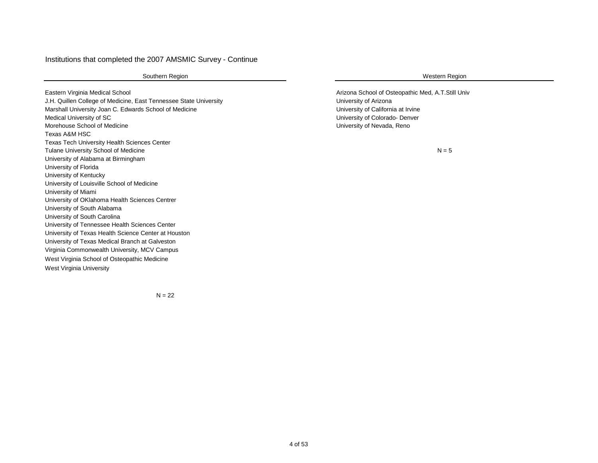#### Institutions that completed the 2007 AMSMIC Survey - Continue

Southern Region **Western Region** Western Region

Eastern Virginia Medical School **Arizona School of Osteopathic Med, A.T.Still Univ** Arizona School of Osteopathic Med, A.T.Still Univ J.H. Quillen College of Medicine, East Tennessee State University University of Arizona Marshall University Joan C. Edwards School of Medicine University of California at Irvine Medical University of SC **Network** Colorado- Denver Morehouse School of Medicine University of Nevada, Reno Texas A&M HSC Texas Tech University Health Sciences Center Tulane University School of Medicine University of Alabama at Birmingham University of Florida University of Kentucky University of Louisville School of Medicine University of Miami University of OKlahoma Health Sciences Centrer University of South Alabama University of South Carolina University of Tennessee Health Sciences Center University of Texas Health Science Center at Houston University of Texas Medical Branch at Galveston Virginia Commonwealth University, MCV Campus West Virginia School of Osteopathic Medicine West Virginia University

 $N = 5$ 

 $N = 22$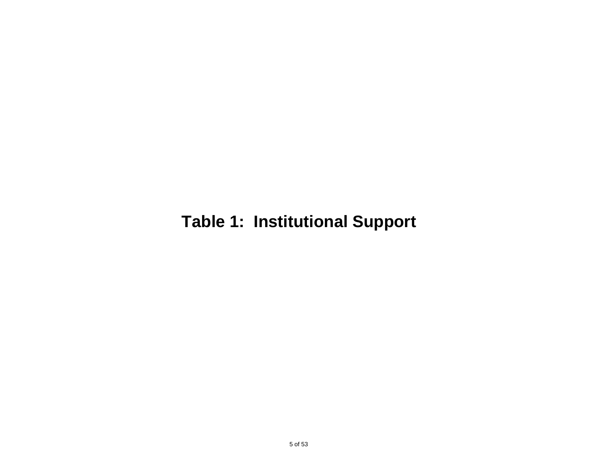## **Table 1: Institutional Support**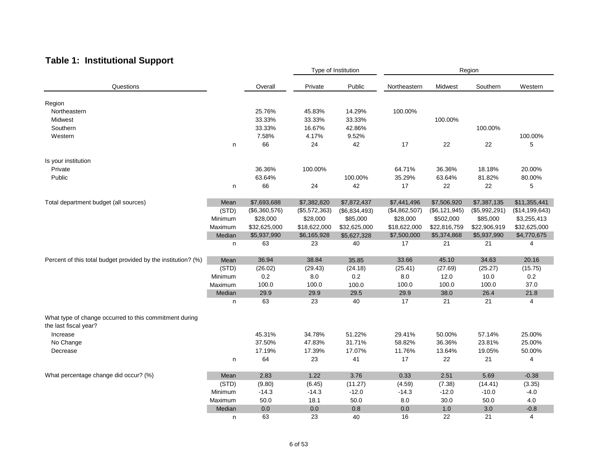### **Table 1: Institutional Support**

|                                                                                 |         |               |               | Type of Institution |               | Region          |               |                  |
|---------------------------------------------------------------------------------|---------|---------------|---------------|---------------------|---------------|-----------------|---------------|------------------|
| Questions                                                                       |         | Overall       | Private       | Public              | Northeastern  | Midwest         | Southern      | Western          |
| Region                                                                          |         |               |               |                     |               |                 |               |                  |
| Northeastern                                                                    |         | 25.76%        | 45.83%        | 14.29%              | 100.00%       |                 |               |                  |
| Midwest                                                                         |         | 33.33%        | 33.33%        | 33.33%              |               | 100.00%         |               |                  |
| Southern                                                                        |         | 33.33%        | 16.67%        | 42.86%              |               |                 | 100.00%       |                  |
| Western                                                                         |         | 7.58%         | 4.17%         | 9.52%               |               |                 |               | 100.00%          |
|                                                                                 | n       | 66            | 24            | 42                  | 17            | 22              | 22            | 5                |
|                                                                                 |         |               |               |                     |               |                 |               |                  |
| Is your institution                                                             |         |               |               |                     |               |                 |               |                  |
| Private                                                                         |         | 36.36%        | 100.00%       |                     | 64.71%        | 36.36%          | 18.18%        | 20.00%           |
| Public                                                                          |         | 63.64%        |               | 100.00%             | 35.29%        | 63.64%          | 81.82%        | 80.00%           |
|                                                                                 | n       | 66            | 24            | 42                  | 17            | 22              | 22            | 5                |
| Total department budget (all sources)                                           | Mean    | \$7,693,688   | \$7,382,820   | \$7,872,437         | \$7,441,496   | \$7,506,920     | \$7,387,135   | \$11,355,441     |
|                                                                                 | (STD)   | (\$6,360,576) | (\$5,572,363) | (\$6,834,493)       | (\$4,862,507) | (\$6, 121, 945) | (\$5,992,291) | (\$14, 199, 643) |
|                                                                                 | Minimum | \$28,000      | \$28,000      | \$85,000            | \$28,000      | \$502,000       | \$85,000      | \$3,255,413      |
|                                                                                 | Maximum | \$32,625,000  | \$18,622,000  | \$32,625,000        | \$18,622,000  | \$22,816,759    | \$22,906,919  | \$32,625,000     |
|                                                                                 | Median  | \$5,937,990   | \$6,165,928   | \$5,627,328         | \$7,500,000   | \$5,374,868     | \$5,937,990   | \$4,770,675      |
|                                                                                 | n       | 63            | 23            | 40                  | 17            | 21              | 21            | 4                |
| Percent of this total budget provided by the institution? (%)                   | Mean    | 36.94         | 38.84         | 35.85               | 33.66         | 45.10           | 34.63         | 20.16            |
|                                                                                 | (STD)   | (26.02)       | (29.43)       | (24.18)             | (25.41)       | (27.69)         | (25.27)       | (15.75)          |
|                                                                                 | Minimum | $0.2\,$       | 8.0           | 0.2                 | 8.0           | 12.0            | 10.0          | 0.2              |
|                                                                                 | Maximum | 100.0         | 100.0         | 100.0               | 100.0         | 100.0           | 100.0         | 37.0             |
|                                                                                 | Median  | 29.9          | 29.9          | 29.5                | 29.9          | 38.0            | 26.4          | 21.8             |
|                                                                                 | n       | 63            | 23            | 40                  | 17            | 21              | 21            | 4                |
|                                                                                 |         |               |               |                     |               |                 |               |                  |
| What type of change occurred to this commitment during<br>the last fiscal year? |         |               |               |                     |               |                 |               |                  |
| Increase                                                                        |         | 45.31%        | 34.78%        | 51.22%              | 29.41%        | 50.00%          | 57.14%        | 25.00%           |
| No Change                                                                       |         | 37.50%        | 47.83%        | 31.71%              | 58.82%        | 36.36%          | 23.81%        | 25.00%           |
| Decrease                                                                        |         | 17.19%        | 17.39%        | 17.07%              | 11.76%        | 13.64%          | 19.05%        | 50.00%           |
|                                                                                 | n       | 64            | 23            | 41                  | 17            | 22              | 21            | 4                |
| What percentage change did occur? (%)                                           | Mean    | 2.83          | 1.22          | 3.76                | 0.33          | 2.51            | 5.69          | $-0.38$          |
|                                                                                 | (STD)   | (9.80)        | (6.45)        | (11.27)             | (4.59)        | (7.38)          | (14.41)       | (3.35)           |
|                                                                                 | Minimum | $-14.3$       | $-14.3$       | $-12.0$             | $-14.3$       | $-12.0$         | $-10.0$       | $-4.0$           |
|                                                                                 | Maximum | 50.0          | 18.1          | 50.0                | 8.0           | 30.0            | 50.0          | 4.0              |
|                                                                                 | Median  | 0.0           | 0.0           | 0.8                 | 0.0           | 1.0             | 3.0           | $-0.8$           |
|                                                                                 | n       | 63            | 23            | 40                  | 16            | 22              | 21            | 4                |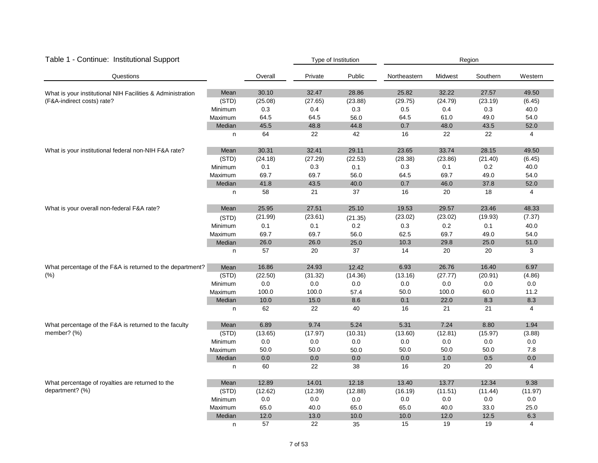| Table 1 - Continue: Institutional Support                  |         |         |         | Type of Institution | Region       |         |          |                |  |
|------------------------------------------------------------|---------|---------|---------|---------------------|--------------|---------|----------|----------------|--|
| Questions                                                  |         | Overall | Private | Public              | Northeastern | Midwest | Southern | Western        |  |
| What is your institutional NIH Facilities & Administration | Mean    | 30.10   | 32.47   | 28.86               | 25.82        | 32.22   | 27.57    | 49.50          |  |
| (F&A-indirect costs) rate?                                 | (STD)   | (25.08) | (27.65) | (23.88)             | (29.75)      | (24.79) | (23.19)  | (6.45)         |  |
|                                                            | Minimum | 0.3     | 0.4     | 0.3                 | 0.5          | 0.4     | 0.3      | 40.0           |  |
|                                                            | Maximum | 64.5    | 64.5    | 56.0                | 64.5         | 61.0    | 49.0     | 54.0           |  |
|                                                            | Median  | 45.5    | 48.8    | 44.8                | 0.7          | 48.0    | 43.5     | 52.0           |  |
|                                                            | n       | 64      | 22      | 42                  | 16           | 22      | 22       | 4              |  |
| What is your institutional federal non-NIH F&A rate?       | Mean    | 30.31   | 32.41   | 29.11               | 23.65        | 33.74   | 28.15    | 49.50          |  |
|                                                            | (STD)   | (24.18) | (27.29) | (22.53)             | (28.38)      | (23.86) | (21.40)  | (6.45)         |  |
|                                                            | Minimum | 0.1     | 0.3     | 0.1                 | 0.3          | 0.1     | 0.2      | 40.0           |  |
|                                                            | Maximum | 69.7    | 69.7    | 56.0                | 64.5         | 69.7    | 49.0     | 54.0           |  |
|                                                            | Median  | 41.8    | 43.5    | 40.0                | 0.7          | 46.0    | 37.8     | 52.0           |  |
|                                                            | n       | 58      | 21      | 37                  | 16           | 20      | 18       | 4              |  |
| What is your overall non-federal F&A rate?                 | Mean    | 25.95   | 27.51   | 25.10               | 19.53        | 29.57   | 23.46    | 48.33          |  |
|                                                            | (STD)   | (21.99) | (23.61) | (21.35)             | (23.02)      | (23.02) | (19.93)  | (7.37)         |  |
|                                                            | Minimum | 0.1     | 0.1     | 0.2                 | 0.3          | 0.2     | 0.1      | 40.0           |  |
|                                                            | Maximum | 69.7    | 69.7    | 56.0                | 62.5         | 69.7    | 49.0     | 54.0           |  |
|                                                            | Median  | 26.0    | 26.0    | 25.0                | 10.3         | 29.8    | 25.0     | 51.0           |  |
|                                                            | n       | 57      | 20      | 37                  | 14           | 20      | 20       | 3              |  |
| What percentage of the F&A is returned to the department?  | Mean    | 16.86   | 24.93   | 12.42               | 6.93         | 26.76   | 16.40    | 6.97           |  |
| (% )                                                       | (STD)   | (22.50) | (31.32) | (14.36)             | (13.16)      | (27.77) | (20.91)  | (4.86)         |  |
|                                                            | Minimum | 0.0     | $0.0\,$ | $0.0\,$             | $0.0\,$      | $0.0\,$ | $0.0\,$  | $0.0\,$        |  |
|                                                            | Maximum | 100.0   | 100.0   | 57.4                | 50.0         | 100.0   | 60.0     | 11.2           |  |
|                                                            | Median  | 10.0    | 15.0    | 8.6                 | 0.1          | 22.0    | 8.3      | 8.3            |  |
|                                                            | n       | 62      | 22      | 40                  | 16           | 21      | 21       | 4              |  |
| What percentage of the F&A is returned to the faculty      | Mean    | 6.89    | 9.74    | 5.24                | 5.31         | 7.24    | 8.80     | 1.94           |  |
| member? (%)                                                | (STD)   | (13.65) | (17.97) | (10.31)             | (13.60)      | (12.81) | (15.97)  | (3.88)         |  |
|                                                            | Minimum | $0.0\,$ | 0.0     | 0.0                 | $0.0\,$      | $0.0\,$ | 0.0      | $0.0\,$        |  |
|                                                            | Maximum | 50.0    | 50.0    | 50.0                | 50.0         | 50.0    | 50.0     | 7.8            |  |
|                                                            | Median  | 0.0     | 0.0     | 0.0                 | 0.0          | 1.0     | 0.5      | 0.0            |  |
|                                                            | n       | 60      | 22      | 38                  | 16           | 20      | 20       | $\overline{4}$ |  |
| What percentage of royalties are returned to the           | Mean    | 12.89   | 14.01   | 12.18               | 13.40        | 13.77   | 12.34    | 9.38           |  |
| department? (%)                                            | (STD)   | (12.62) | (12.39) | (12.88)             | (16.19)      | (11.51) | (11.44)  | (11.97)        |  |
|                                                            | Minimum | 0.0     | 0.0     | 0.0                 | 0.0          | $0.0\,$ | 0.0      | 0.0            |  |
|                                                            | Maximum | 65.0    | 40.0    | 65.0                | 65.0         | 40.0    | 33.0     | 25.0           |  |
|                                                            | Median  | 12.0    | 13.0    | 10.0                | 10.0         | 12.0    | 12.5     | 6.3            |  |
|                                                            | n       | 57      | 22      | 35                  | 15           | 19      | 19       | 4              |  |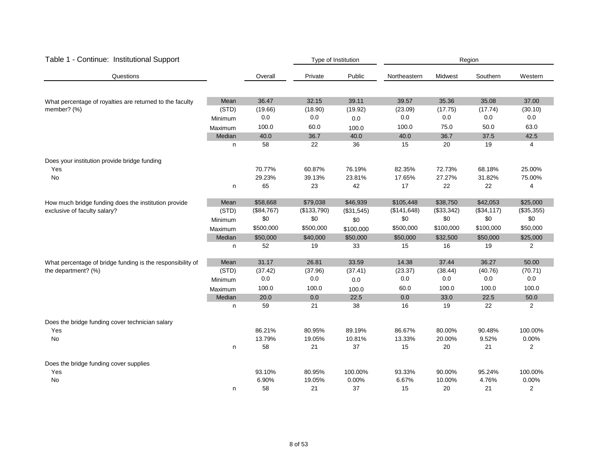| Table 1 - Continue: Institutional Support                  |         |            | Type of Institution |            | Region       |            |            |                |  |  |
|------------------------------------------------------------|---------|------------|---------------------|------------|--------------|------------|------------|----------------|--|--|
| Questions                                                  |         | Overall    | Private             | Public     | Northeastern | Midwest    | Southern   | Western        |  |  |
| What percentage of royalties are returned to the faculty   | Mean    | 36.47      | 32.15               | 39.11      | 39.57        | 35.36      | 35.08      | 37.00          |  |  |
| member? (%)                                                | (STD)   | (19.66)    | (18.90)             | (19.92)    | (23.09)      | (17.75)    | (17.74)    | (30.10)        |  |  |
|                                                            | Minimum | 0.0        | $0.0\,$             | $0.0\,$    | $0.0\,$      | $0.0\,$    | 0.0        | 0.0            |  |  |
|                                                            | Maximum | 100.0      | 60.0                | 100.0      | 100.0        | 75.0       | 50.0       | 63.0           |  |  |
|                                                            | Median  | 40.0       | 36.7                | 40.0       | 40.0         | 36.7       | 37.5       | 42.5           |  |  |
|                                                            | n       | 58         | 22                  | 36         | 15           | 20         | 19         | 4              |  |  |
| Does your institution provide bridge funding               |         |            |                     |            |              |            |            |                |  |  |
| Yes                                                        |         | 70.77%     | 60.87%              | 76.19%     | 82.35%       | 72.73%     | 68.18%     | 25.00%         |  |  |
| No                                                         |         | 29.23%     | 39.13%              | 23.81%     | 17.65%       | 27.27%     | 31.82%     | 75.00%         |  |  |
|                                                            | n       | 65         | 23                  | 42         | 17           | 22         | 22         | 4              |  |  |
| How much bridge funding does the institution provide       | Mean    | \$58,668   | \$79,038            | \$46,939   | \$105,448    | \$38,750   | \$42,053   | \$25,000       |  |  |
| exclusive of faculty salary?                               | (STD)   | (\$84,767) | (\$133,790)         | (\$31,545) | (\$141, 648) | (\$33,342) | (\$34,117) | (\$35,355)     |  |  |
|                                                            | Minimum | \$0        | \$0                 | \$0        | \$0          | \$0        | \$0        | \$0            |  |  |
|                                                            | Maximum | \$500,000  | \$500,000           | \$100,000  | \$500,000    | \$100,000  | \$100,000  | \$50,000       |  |  |
|                                                            | Median  | \$50,000   | \$40,000            | \$50,000   | \$50,000     | \$32,500   | \$50,000   | \$25,000       |  |  |
|                                                            | n       | 52         | 19                  | 33         | 15           | 16         | 19         | $\overline{2}$ |  |  |
| What percentage of bridge funding is the responsibility of | Mean    | 31.17      | 26.81               | 33.59      | 14.38        | 37.44      | 36.27      | 50.00          |  |  |
| the department? (%)                                        | (STD)   | (37.42)    | (37.96)             | (37.41)    | (23.37)      | (38.44)    | (40.76)    | (70.71)        |  |  |
|                                                            | Minimum | 0.0        | 0.0                 | 0.0        | 0.0          | 0.0        | 0.0        | 0.0            |  |  |
|                                                            | Maximum | 100.0      | 100.0               | 100.0      | 60.0         | 100.0      | 100.0      | 100.0          |  |  |
|                                                            | Median  | 20.0       | 0.0                 | 22.5       | 0.0          | 33.0       | 22.5       | 50.0           |  |  |
|                                                            | n       | 59         | 21                  | 38         | 16           | 19         | 22         | 2              |  |  |
| Does the bridge funding cover technician salary            |         |            |                     |            |              |            |            |                |  |  |
| Yes                                                        |         | 86.21%     | 80.95%              | 89.19%     | 86.67%       | 80.00%     | 90.48%     | 100.00%        |  |  |
| No                                                         |         | 13.79%     | 19.05%              | 10.81%     | 13.33%       | 20.00%     | 9.52%      | 0.00%          |  |  |
|                                                            | n       | 58         | 21                  | 37         | 15           | 20         | 21         | 2              |  |  |
| Does the bridge funding cover supplies                     |         |            |                     |            |              |            |            |                |  |  |
| Yes                                                        |         | 93.10%     | 80.95%              | 100.00%    | 93.33%       | 90.00%     | 95.24%     | 100.00%        |  |  |
| No                                                         |         | 6.90%      | 19.05%              | 0.00%      | 6.67%        | 10.00%     | 4.76%      | 0.00%          |  |  |
|                                                            | n       | 58         | 21                  | 37         | 15           | 20         | 21         | 2              |  |  |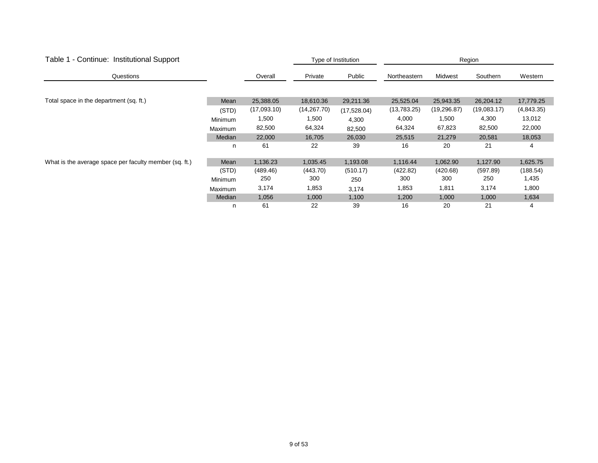| Table 1 - Continue: Institutional Support              |                |             | Type of Institution | Region      |              |             |             |            |
|--------------------------------------------------------|----------------|-------------|---------------------|-------------|--------------|-------------|-------------|------------|
| Questions                                              |                | Overall     | Private             | Public      | Northeastern | Midwest     | Southern    | Western    |
|                                                        |                |             |                     |             |              |             |             |            |
| Total space in the department (sq. ft.)                | Mean           | 25,388.05   | 18,610.36           | 29,211.36   | 25,525.04    | 25,943.35   | 26,204.12   | 17,779.25  |
|                                                        | (STD)          | (17,093.10) | (14, 267.70)        | (17,528.04) | (13,783.25)  | (19,296.87) | (19,083.17) | (4,843.35) |
|                                                        | <b>Minimum</b> | 1,500       | 1,500               | 4,300       | 4,000        | 1,500       | 4,300       | 13,012     |
|                                                        | <b>Maximum</b> | 82,500      | 64,324              | 82,500      | 64,324       | 67,823      | 82,500      | 22,000     |
|                                                        | Median         | 22,000      | 16,705              | 26,030      | 25,515       | 21,279      | 20,581      | 18,053     |
|                                                        | n              | 61          | 22                  | 39          | 16           | 20          | 21          | 4          |
| What is the average space per faculty member (sq. ft.) | Mean           | 1,136.23    | 1,035.45            | 1,193.08    | 1,116.44     | 1,062.90    | 1,127.90    | 1,625.75   |
|                                                        | (STD)          | (489.46)    | (443.70)            | (510.17)    | (422.82)     | (420.68)    | (597.89)    | (188.54)   |
|                                                        | <b>Minimum</b> | 250         | 300                 | 250         | 300          | 300         | 250         | 1,435      |
|                                                        | <b>Maximum</b> | 3,174       | 1,853               | 3,174       | 1,853        | 1,811       | 3,174       | 1,800      |
|                                                        | Median         | 1,056       | 1,000               | 1,100       | 1,200        | 1,000       | 1,000       | 1,634      |
|                                                        | n              | 61          | 22                  | 39          | 16           | 20          | 21          | 4          |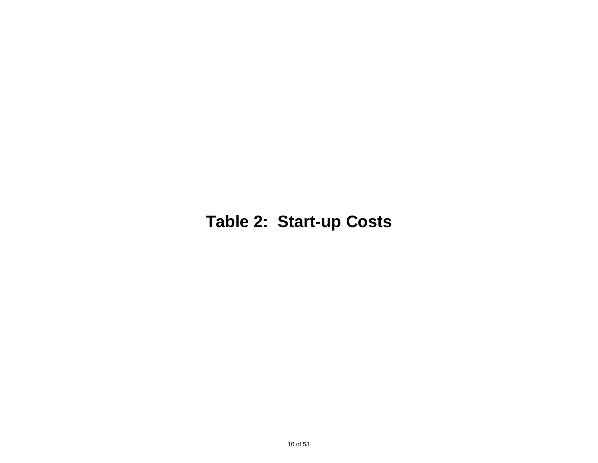## **Table 2: Start-up Costs**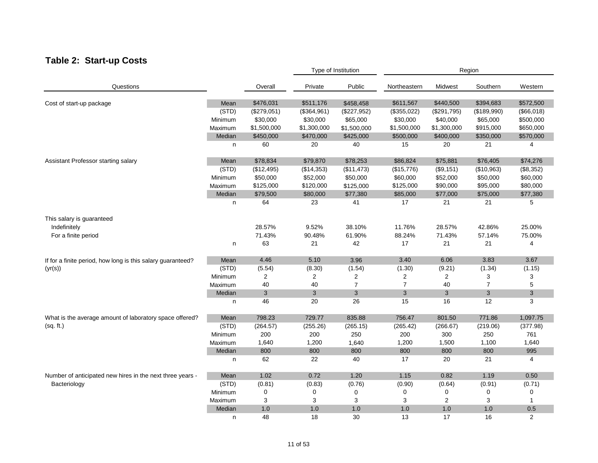### **Table 2: Start-up Costs**

|                                                             |               |             |             | Type of Institution |                | Region      |                |                |  |
|-------------------------------------------------------------|---------------|-------------|-------------|---------------------|----------------|-------------|----------------|----------------|--|
| Questions                                                   |               | Overall     | Private     | Public              | Northeastern   | Midwest     | Southern       | Western        |  |
| Cost of start-up package                                    | Mean          | \$476,031   | \$511,176   | \$458,458           | \$611,567      | \$440,500   | \$394,683      | \$572,500      |  |
|                                                             | (STD)         | (\$279,051) | (\$364,961) | (\$227,952)         | (\$355,022)    | (\$291,795) | (\$189,990)    | (\$66,018)     |  |
|                                                             | Minimum       | \$30,000    | \$30,000    | \$65,000            | \$30,000       | \$40,000    | \$65,000       | \$500,000      |  |
|                                                             | Maximum       | \$1,500,000 | \$1,300,000 | \$1,500,000         | \$1,500,000    | \$1,300,000 | \$915,000      | \$650,000      |  |
|                                                             | Median        | \$450,000   | \$470,000   | \$425,000           | \$500,000      | \$400,000   | \$350,000      | \$570,000      |  |
|                                                             | n             | 60          | 20          | 40                  | 15             | 20          | 21             | 4              |  |
| Assistant Professor starting salary                         | Mean          | \$78,834    | \$79,870    | \$78,253            | \$86,824       | \$75,881    | \$76,405       | \$74,276       |  |
|                                                             | (STD)         | (\$12,495)  | (\$14,353)  | (\$11,473)          | (\$15,776)     | (\$9,151)   | (\$10,963)     | (\$8,352)      |  |
|                                                             | Minimum       | \$50,000    | \$52,000    | \$50,000            | \$60,000       | \$52,000    | \$50,000       | \$60,000       |  |
|                                                             | Maximum       | \$125,000   | \$120,000   | \$125,000           | \$125,000      | \$90,000    | \$95,000       | \$80,000       |  |
|                                                             | Median        | \$79,500    | \$80,000    | \$77,380            | \$85,000       | \$77,000    | \$75,000       | \$77,380       |  |
|                                                             | n             | 64          | 23          | 41                  | 17             | 21          | 21             | 5              |  |
| This salary is guaranteed                                   |               |             |             |                     |                |             |                |                |  |
| Indefinitely                                                |               | 28.57%      | 9.52%       | 38.10%              | 11.76%         | 28.57%      | 42.86%         | 25.00%         |  |
| For a finite period                                         |               | 71.43%      | 90.48%      | 61.90%              | 88.24%         | 71.43%      | 57.14%         | 75.00%         |  |
|                                                             | n             | 63          | 21          | 42                  | 17             | 21          | 21             | 4              |  |
| If for a finite period, how long is this salary guaranteed? | Mean          | 4.46        | 5.10        | 3.96                | 3.40           | 6.06        | 3.83           | 3.67           |  |
| (yr(s))                                                     | (STD)         | (5.54)      | (8.30)      | (1.54)              | (1.30)         | (9.21)      | (1.34)         | (1.15)         |  |
|                                                             | Minimum       | 2           | 2           | 2                   | 2              | 2           | 3              | 3              |  |
|                                                             | Maximum       | 40          | 40          | $\overline{7}$      | $\overline{7}$ | 40          | $\overline{7}$ | 5              |  |
|                                                             | Median        | 3           | 3           | 3                   | 3              | 3           | 3              | 3              |  |
|                                                             | n             | 46          | 20          | 26                  | 15             | 16          | 12             | 3              |  |
| What is the average amount of laboratory space offered?     | Mean          | 798.23      | 729.77      | 835.88              | 756.47         | 801.50      | 771.86         | 1,097.75       |  |
| (sq. ft.)                                                   | (STD)         | (264.57)    | (255.26)    | (265.15)            | (265.42)       | (266.67)    | (219.06)       | (377.98)       |  |
|                                                             | Minimum       | 200         | 200         | 250                 | 200            | 300         | 250            | 761            |  |
|                                                             | Maximum       | 1,640       | 1,200       | 1,640               | 1,200          | 1,500       | 1,100          | 1,640          |  |
|                                                             | Median        | 800         | 800         | 800                 | 800            | 800         | 800            | 995            |  |
|                                                             | n             | 62          | 22          | 40                  | 17             | 20          | 21             | 4              |  |
| Number of anticipated new hires in the next three years -   | Mean          | 1.02        | 0.72        | 1.20                | 1.15           | 0.82        | 1.19           | 0.50           |  |
| Bacteriology                                                | (STD)         | (0.81)      | (0.83)      | (0.76)              | (0.90)         | (0.64)      | (0.91)         | (0.71)         |  |
|                                                             | Minimum       | 0           | 0           | 0                   | 0              | 0           | $\mathbf 0$    | 0              |  |
|                                                             | Maximum       | 3           | 3           | 3                   | 3              | 2           | 3              | $\mathbf{1}$   |  |
|                                                             | <b>Median</b> | 1.0         | 1.0         | 1.0                 | 1.0            | 1.0         | 1.0            | 0.5            |  |
|                                                             | n             | 48          | 18          | 30                  | 13             | 17          | 16             | $\overline{2}$ |  |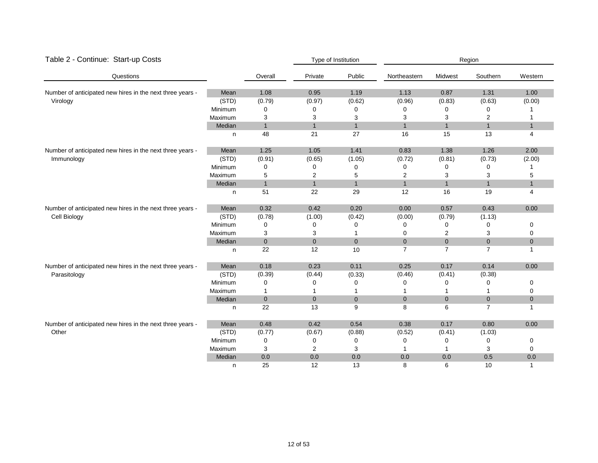| Table 2 - Continue: Start-up Costs                                        |         |                  |                | Type of Institution<br>Region |                |                |                |              |  |
|---------------------------------------------------------------------------|---------|------------------|----------------|-------------------------------|----------------|----------------|----------------|--------------|--|
| Questions                                                                 |         | Overall          | Private        | Public                        | Northeastern   | Midwest        | Southern       | Western      |  |
| Number of anticipated new hires in the next three years -                 | Mean    | 1.08             | 0.95           | 1.19                          | 1.13           | 0.87           | 1.31           | 1.00         |  |
| Virology                                                                  | (STD)   | (0.79)           | (0.97)         | (0.62)                        | (0.96)         | (0.83)         | (0.63)         | (0.00)       |  |
|                                                                           | Minimum | 0                | 0              | 0                             | 0              | 0              | 0              |              |  |
|                                                                           | Maximum | 3                | 3              | 3                             | 3              | 3              | $\overline{2}$ |              |  |
|                                                                           | Median  | $\mathbf{1}$     | $\mathbf{1}$   | $\mathbf{1}$                  | $\mathbf{1}$   | $\mathbf{1}$   | $\mathbf{1}$   | $\mathbf{1}$ |  |
|                                                                           | n       | 48               | 21             | 27                            | 16             | 15             | 13             | 4            |  |
| Number of anticipated new hires in the next three years -                 | Mean    | 1.25             | 1.05           | 1.41                          | 0.83           | 1.38           | 1.26           | 2.00         |  |
| Immunology                                                                | (STD)   | (0.91)           | (0.65)         | (1.05)                        | (0.72)         | (0.81)         | (0.73)         | (2.00)       |  |
|                                                                           | Minimum | 0                | 0              | 0                             | 0              | 0              | $\Omega$       |              |  |
|                                                                           | Maximum | 5                | $\overline{2}$ | 5                             | $\overline{2}$ | 3              | 3              | 5            |  |
|                                                                           | Median  | $\mathbf{1}$     | $\mathbf{1}$   | $\mathbf{1}$                  | $\mathbf{1}$   | $\mathbf{1}$   | $\mathbf{1}$   | $\mathbf{1}$ |  |
|                                                                           | n       | 51               | 22             | 29                            | 12             | 16             | 19             | 4            |  |
| Number of anticipated new hires in the next three years -<br>Cell Biology | Mean    | 0.32             | 0.42           | 0.20                          | 0.00           | 0.57           | 0.43           | 0.00         |  |
|                                                                           | (STD)   | (0.78)           | (1.00)         | (0.42)                        | (0.00)         | (0.79)         | (1.13)         |              |  |
|                                                                           | Minimum | 0                | 0              | ∩                             | 0              | 0              | 0              | 0            |  |
|                                                                           | Maximum | 3                | 3              |                               | 0              | $\overline{2}$ | 3              | 0            |  |
|                                                                           | Median  | $\boldsymbol{0}$ | $\mathbf{0}$   | $\boldsymbol{0}$              | $\mathbf{0}$   | $\mathbf{0}$   | $\mathbf{0}$   | $\pmb{0}$    |  |
|                                                                           | n       | 22               | 12             | 10                            | $\overline{7}$ | $\overline{7}$ | $\overline{7}$ | $\mathbf{1}$ |  |
| Number of anticipated new hires in the next three years -                 | Mean    | 0.18             | 0.23           | 0.11                          | 0.25           | 0.17           | 0.14           | 0.00         |  |
| Parasitology                                                              | (STD)   | (0.39)           | (0.44)         | (0.33)                        | (0.46)         | (0.41)         | (0.38)         |              |  |
|                                                                           | Minimum | 0                | 0              | 0                             | 0              | 0              | 0              | 0            |  |
|                                                                           | Maximum | 1                |                |                               |                |                |                | 0            |  |
|                                                                           | Median  | $\mathbf 0$      | $\mathbf{0}$   | $\overline{0}$                | $\mathbf{0}$   | $\mathbf{0}$   | $\mathbf{0}$   | $\bf 0$      |  |
|                                                                           | n       | 22               | 13             | 9                             | 8              | 6              | $\overline{7}$ | $\mathbf{1}$ |  |
| Number of anticipated new hires in the next three years -                 | Mean    | 0.48             | 0.42           | 0.54                          | 0.38           | 0.17           | 0.80           | 0.00         |  |
| Other                                                                     | (STD)   | (0.77)           | (0.67)         | (0.88)                        | (0.52)         | (0.41)         | (1.03)         |              |  |
|                                                                           | Minimum | 0                | 0              | 0                             | 0              | $\mathbf 0$    | $\mathbf 0$    | 0            |  |
|                                                                           | Maximum | 3                | 2              | 3                             |                | 1              | 3              | 0            |  |
|                                                                           | Median  | 0.0              | 0.0            | 0.0                           | 0.0            | 0.0            | 0.5            | 0.0          |  |
|                                                                           | n       | 25               | 12             | 13                            | 8              | 6              | 10             | $\mathbf{1}$ |  |

#### 12 of 53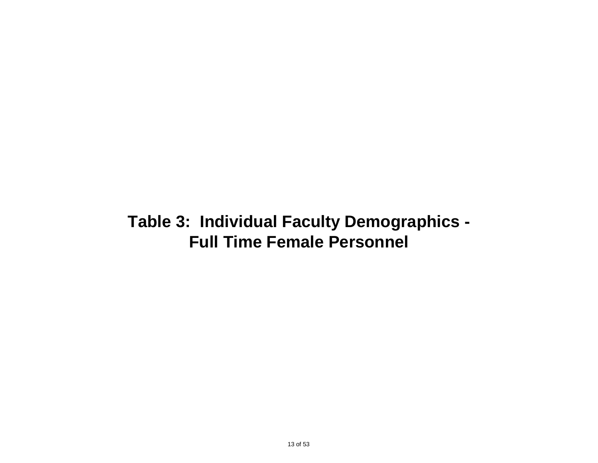### **Full Time Female Personnel Table 3: Individual Faculty Demographics -**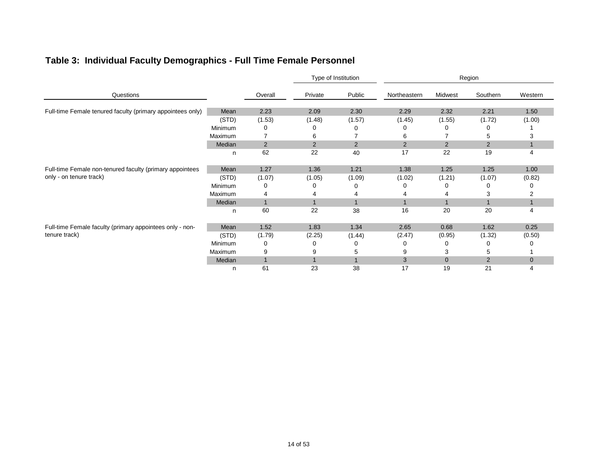### **Table 3: Individual Faculty Demographics - Full Time Female Personnel**

|                                                                                     |                |                |                | Type of Institution |                |                | Region         |              |
|-------------------------------------------------------------------------------------|----------------|----------------|----------------|---------------------|----------------|----------------|----------------|--------------|
| Questions                                                                           |                | Overall        | Private        | Public              | Northeastern   | Midwest        | Southern       | Western      |
| Full-time Female tenured faculty (primary appointees only)                          | Mean           | 2.23           | 2.09           | 2.30                | 2.29           | 2.32           | 2.21           | 1.50         |
|                                                                                     | (STD)          | (1.53)         | (1.48)         | (1.57)              | (1.45)         | (1.55)         | (1.72)         | (1.00)       |
|                                                                                     | <b>Minimum</b> | 0              | 0              | 0                   | 0              | O              | 0              |              |
|                                                                                     | Maximum        |                | 6              |                     | 6              |                | 5              | з            |
|                                                                                     | Median         | $\overline{2}$ | $\overline{2}$ | $\overline{2}$      | $\overline{2}$ | 2              | $\overline{2}$ |              |
|                                                                                     | n              | 62             | 22             | 40                  | 17             | 22             | 19             | 4            |
| Full-time Female non-tenured faculty (primary appointees<br>only - on tenure track) | Mean           | 1.27           | 1.36           | 1.21                | 1.38           | 1.25           | 1.25           | 1.00         |
|                                                                                     | (STD)          | (1.07)         | (1.05)         | (1.09)              | (1.02)         | (1.21)         | (1.07)         | (0.82)       |
|                                                                                     | Minimum        | 0              | 0              | 0                   | O              | O              |                |              |
|                                                                                     | Maximum        | 4              |                |                     |                |                | З              |              |
|                                                                                     | Median         | $\overline{1}$ |                |                     |                |                |                |              |
|                                                                                     | n              | 60             | 22             | 38                  | 16             | 20             | 20             | 4            |
| Full-time Female faculty (primary appointees only - non-                            | Mean           | 1.52           | 1.83           | 1.34                | 2.65           | 0.68           | 1.62           | 0.25         |
| tenure track)                                                                       | (STD)          | (1.79)         | (2.25)         | (1.44)              | (2.47)         | (0.95)         | (1.32)         | (0.50)       |
|                                                                                     | Minimum        | 0              | 0              | 0                   | 0              | 0              | 0              |              |
|                                                                                     | Maximum        | 9              | 9              | 5                   | 9              | 3              | 5              |              |
|                                                                                     | Median         | $\overline{1}$ |                |                     | 3              | $\overline{0}$ | 2              | $\mathbf{0}$ |
|                                                                                     | n              | 61             | 23             | 38                  | 17             | 19             | 21             | 4            |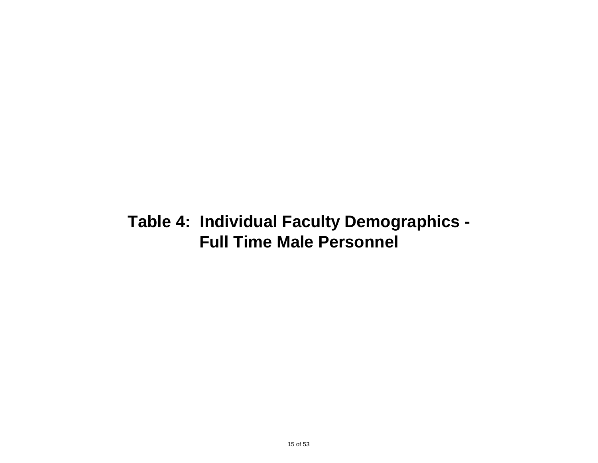## **Table 4: Individual Faculty Demographics - Full Time Male Personnel**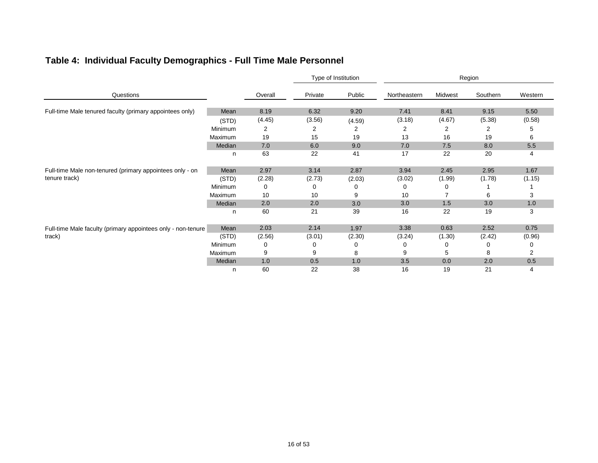### **Table 4: Individual Faculty Demographics - Full Time Male Personnel**

|                                                                           |                |         |         | Type of Institution |              |         | Region   |         |
|---------------------------------------------------------------------------|----------------|---------|---------|---------------------|--------------|---------|----------|---------|
| Questions                                                                 |                | Overall | Private | Public              | Northeastern | Midwest | Southern | Western |
| Full-time Male tenured faculty (primary appointees only)                  | Mean           | 8.19    | 6.32    | 9.20                | 7.41         | 8.41    | 9.15     | 5.50    |
|                                                                           | (STD)          | (4.45)  | (3.56)  | (4.59)              | (3.18)       | (4.67)  | (5.38)   | (0.58)  |
|                                                                           | <b>Minimum</b> | 2       | 2       | 2                   | 2            | 2       | 2        | 5       |
|                                                                           | Maximum        | 19      | 15      | 19                  | 13           | 16      | 19       | 6       |
|                                                                           | Median         | 7.0     | 6.0     | 9.0                 | 7.0          | 7.5     | 8.0      | 5.5     |
|                                                                           | n              | 63      | 22      | 41                  | 17           | 22      | 20       | 4       |
| Full-time Male non-tenured (primary appointees only - on<br>tenure track) | Mean           | 2.97    | 3.14    | 2.87                | 3.94         | 2.45    | 2.95     | 1.67    |
|                                                                           | (STD)          | (2.28)  | (2.73)  | (2.03)              | (3.02)       | (1.99)  | (1.78)   | (1.15)  |
|                                                                           | Minimum        | 0       | 0       | 0                   | 0            | Ω       |          |         |
|                                                                           | Maximum        | 10      | 10      | 9                   | 10           |         | 6        | 3       |
|                                                                           | Median         | 2.0     | 2.0     | 3.0                 | 3.0          | 1.5     | 3.0      | 1.0     |
|                                                                           | n              | 60      | 21      | 39                  | 16           | 22      | 19       | 3       |
| Full-time Male faculty (primary appointees only - non-tenure              | Mean           | 2.03    | 2.14    | 1.97                | 3.38         | 0.63    | 2.52     | 0.75    |
| track)                                                                    | (STD)          | (2.56)  | (3.01)  | (2.30)              | (3.24)       | (1.30)  | (2.42)   | (0.96)  |
|                                                                           | Minimum        | 0       | 0       | 0                   | 0            | 0       | 0        | O       |
|                                                                           | Maximum        | 9       | 9       | 8                   | 9            | 5       | 8        | 2       |
|                                                                           | Median         | 1.0     | 0.5     | 1.0                 | 3.5          | 0.0     | 2.0      | 0.5     |
|                                                                           | n              | 60      | 22      | 38                  | 16           | 19      | 21       | 4       |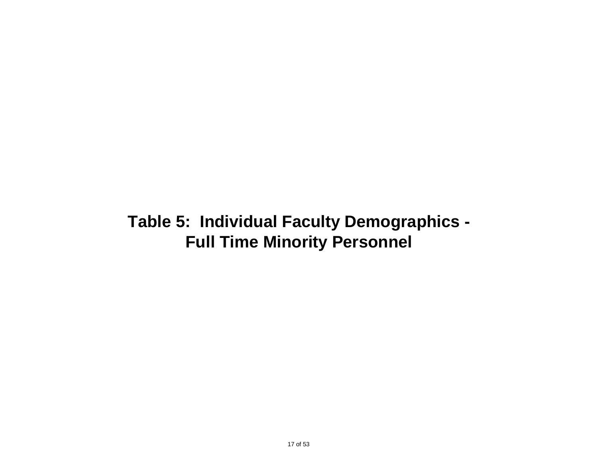## **Table 5: Individual Faculty Demographics - Full Time Minority Personnel**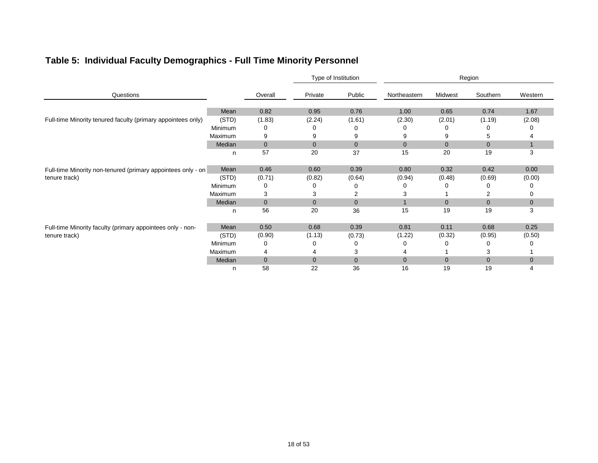### **Table 5: Individual Faculty Demographics - Full Time Minority Personnel**

|                                                                               |                |              |                | Type of Institution |                |                | Region       |              |
|-------------------------------------------------------------------------------|----------------|--------------|----------------|---------------------|----------------|----------------|--------------|--------------|
| Questions                                                                     |                | Overall      | Private        | Public              | Northeastern   | Midwest        | Southern     | Western      |
|                                                                               | Mean           | 0.82         | 0.95           | 0.76                | 1.00           | 0.65           | 0.74         | 1.67         |
| Full-time Minority tenured faculty (primary appointees only)                  | (STD)          | (1.83)       | (2.24)         | (1.61)              | (2.30)         | (2.01)         | (1.19)       | (2.08)       |
|                                                                               | Minimum        | 0            | 0              | O                   | 0              | $\mathbf{0}$   | O            |              |
|                                                                               | Maximum        | 9            | 9              | 9                   | 9              | 9              | 5            |              |
|                                                                               | Median         | $\mathbf 0$  | $\overline{0}$ | $\overline{0}$      | $\overline{0}$ | $\overline{0}$ | $\mathbf{0}$ |              |
|                                                                               | n              | 57           | 20             | 37                  | 15             | 20             | 19           | 3            |
| Full-time Minority non-tenured (primary appointees only - on<br>tenure track) | Mean           | 0.46         | 0.60           | 0.39                | 0.80           | 0.32           | 0.42         | 0.00         |
|                                                                               | (STD)          | (0.71)       | (0.82)         | (0.64)              | (0.94)         | (0.48)         | (0.69)       | (0.00)       |
|                                                                               | Minimum        | 0            | -0             | 0                   | 0              |                | O            |              |
|                                                                               | <b>Maximum</b> | 3            | 3              | 2                   | 3              |                |              |              |
|                                                                               | Median         | $\mathbf{0}$ | $\overline{0}$ | $\overline{0}$      |                | $\overline{0}$ | $\mathbf{0}$ | $\mathbf{0}$ |
|                                                                               | n              | 56           | 20             | 36                  | 15             | 19             | 19           | 3            |
| Full-time Minority faculty (primary appointees only - non-                    | Mean           | 0.50         | 0.68           | 0.39                | 0.81           | 0.11           | 0.68         | 0.25         |
| tenure track)                                                                 | (STD)          | (0.90)       | (1.13)         | (0.73)              | (1.22)         | (0.32)         | (0.95)       | (0.50)       |
|                                                                               | Minimum        | 0            | 0              | 0                   | O              | O              | 0            |              |
|                                                                               | Maximum        | 4            |                | 3                   |                |                | 3            |              |
|                                                                               | Median         | $\mathbf{0}$ | $\overline{0}$ | $\mathbf 0$         | 0              | $\mathbf 0$    | $\mathbf 0$  | $\mathbf 0$  |
|                                                                               | n              | 58           | 22             | 36                  | 16             | 19             | 19           | 4            |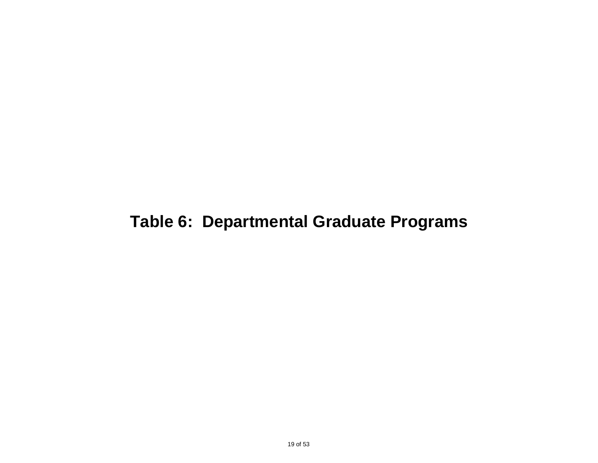## **Table 6: Departmental Graduate Programs**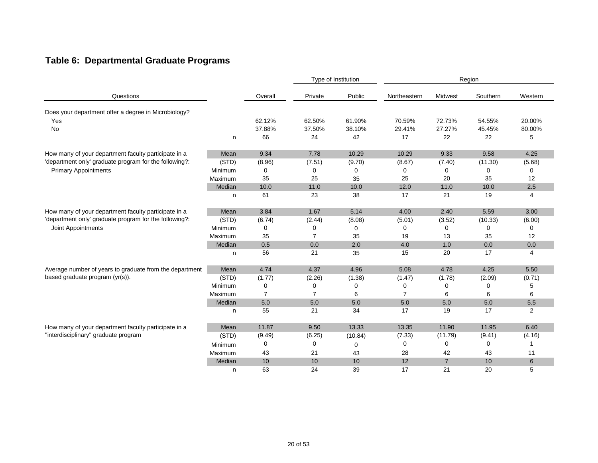### **Table 6: Departmental Graduate Programs**

|                                                                              |         |                |                | Type of Institution |                |                | Region      |         |
|------------------------------------------------------------------------------|---------|----------------|----------------|---------------------|----------------|----------------|-------------|---------|
| Questions                                                                    |         | Overall        | Private        | Public              | Northeastern   | Midwest        | Southern    | Western |
| Does your department offer a degree in Microbiology?                         |         |                |                |                     |                |                |             |         |
| Yes                                                                          |         | 62.12%         | 62.50%         | 61.90%              | 70.59%         | 72.73%         | 54.55%      | 20.00%  |
| No                                                                           |         | 37.88%         | 37.50%         | 38.10%              | 29.41%         | 27.27%         | 45.45%      | 80.00%  |
|                                                                              | n       | 66             | 24             | 42                  | 17             | 22             | 22          | 5       |
| How many of your department faculty participate in a                         | Mean    | 9.34           | 7.78           | 10.29               | 10.29          | 9.33           | 9.58        | 4.25    |
| 'department only' graduate program for the following?:                       | (STD)   | (8.96)         | (7.51)         | (9.70)              | (8.67)         | (7.40)         | (11.30)     | (5.68)  |
| <b>Primary Appointments</b>                                                  | Minimum | 0              | 0              | 0                   | 0              | 0              | $\mathbf 0$ | 0       |
|                                                                              | Maximum | 35             | 25             | 35                  | 25             | 20             | 35          | 12      |
|                                                                              | Median  | 10.0           | 11.0           | 10.0                | 12.0           | 11.0           | 10.0        | 2.5     |
|                                                                              | n       | 61             | 23             | 38                  | 17             | 21             | 19          | 4       |
| How many of your department faculty participate in a                         | Mean    | 3.84           | 1.67           | 5.14                | 4.00           | 2.40           | 5.59        | 3.00    |
| 'department only' graduate program for the following?:<br>Joint Appointments | (STD)   | (6.74)         | (2.44)         | (8.08)              | (5.01)         | (3.52)         | (10.33)     | (6.00)  |
|                                                                              | Minimum | 0              | 0              | 0                   | 0              | 0              | 0           | 0       |
|                                                                              | Maximum | 35             | $\overline{7}$ | 35                  | 19             | 13             | 35          | 12      |
|                                                                              | Median  | 0.5            | 0.0            | 2.0                 | 4.0            | 1.0            | 0.0         | 0.0     |
|                                                                              | n       | 56             | 21             | 35                  | 15             | 20             | 17          | 4       |
| Average number of years to graduate from the department                      | Mean    | 4.74           | 4.37           | 4.96                | 5.08           | 4.78           | 4.25        | 5.50    |
| based graduate program (yr(s)).                                              | (STD)   | (1.77)         | (2.26)         | (1.38)              | (1.47)         | (1.78)         | (2.09)      | (0.71)  |
|                                                                              | Minimum | 0              | 0              | 0                   | 0              | 0              | 0           | 5       |
|                                                                              | Maximum | $\overline{7}$ | $\overline{7}$ | 6                   | $\overline{7}$ | 6              | 6           | 6       |
|                                                                              | Median  | 5.0            | 5.0            | 5.0                 | 5.0            | 5.0            | 5.0         | 5.5     |
|                                                                              | n       | 55             | 21             | 34                  | 17             | 19             | 17          | 2       |
| How many of your department faculty participate in a                         | Mean    | 11.87          | 9.50           | 13.33               | 13.35          | 11.90          | 11.95       | 6.40    |
| "interdisciplinary" graduate program                                         | (STD)   | (9.49)         | (6.25)         | (10.84)             | (7.33)         | (11.79)        | (9.41)      | (4.16)  |
|                                                                              | Minimum | 0              | 0              | 0                   | 0              | 0              | $\mathbf 0$ | 1       |
|                                                                              | Maximum | 43             | 21             | 43                  | 28             | 42             | 43          | 11      |
|                                                                              | Median  | 10             | 10             | 10                  | 12             | $\overline{7}$ | 10          | 6       |
|                                                                              | n       | 63             | 24             | 39                  | 17             | 21             | 20          | 5       |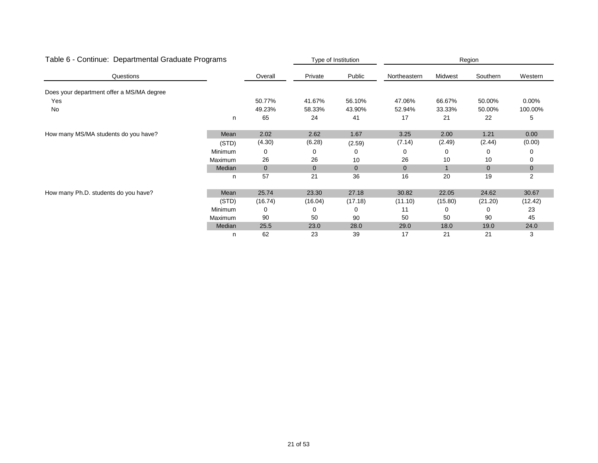| Table 6 - Continue: Departmental Graduate Programs |         |             |              | Type of Institution |              |         | Region       |              |
|----------------------------------------------------|---------|-------------|--------------|---------------------|--------------|---------|--------------|--------------|
| Questions                                          |         | Overall     | Private      | Public              | Northeastern | Midwest | Southern     | Western      |
| Does your department offer a MS/MA degree          |         |             |              |                     |              |         |              |              |
| Yes                                                |         | 50.77%      | 41.67%       | 56.10%              | 47.06%       | 66.67%  | 50.00%       | $0.00\%$     |
| No                                                 |         | 49.23%      | 58.33%       | 43.90%              | 52.94%       | 33.33%  | 50.00%       | 100.00%      |
|                                                    | n       | 65          | 24           | 41                  | 17           | 21      | 22           | 5            |
| How many MS/MA students do you have?               | Mean    | 2.02        | 2.62         | 1.67                | 3.25         | 2.00    | 1.21         | 0.00         |
|                                                    | (STD)   | (4.30)      | (6.28)       | (2.59)              | (7.14)       | (2.49)  | (2.44)       | (0.00)       |
|                                                    | Minimum | 0           | 0            | 0                   | 0            | 0       | 0            | 0            |
|                                                    | Maximum | 26          | 26           | 10                  | 26           | 10      | 10           | 0            |
|                                                    | Median  | $\mathbf 0$ | $\mathbf{0}$ | $\mathbf{0}$        | 0            |         | $\mathbf{0}$ | $\mathbf{0}$ |
|                                                    | n       | 57          | 21           | 36                  | 16           | 20      | 19           | 2            |
| How many Ph.D. students do you have?               | Mean    | 25.74       | 23.30        | 27.18               | 30.82        | 22.05   | 24.62        | 30.67        |
|                                                    | (STD)   | (16.74)     | (16.04)      | (17.18)             | (11.10)      | (15.80) | (21.20)      | (12.42)      |
|                                                    | Minimum | 0           | 0            | 0                   | 11           | O       | 0            | 23           |
|                                                    | Maximum | 90          | 50           | 90                  | 50           | 50      | 90           | 45           |
|                                                    | Median  | 25.5        | 23.0         | 28.0                | 29.0         | 18.0    | 19.0         | 24.0         |
|                                                    | n       | 62          | 23           | 39                  | 17           | 21      | 21           | 3            |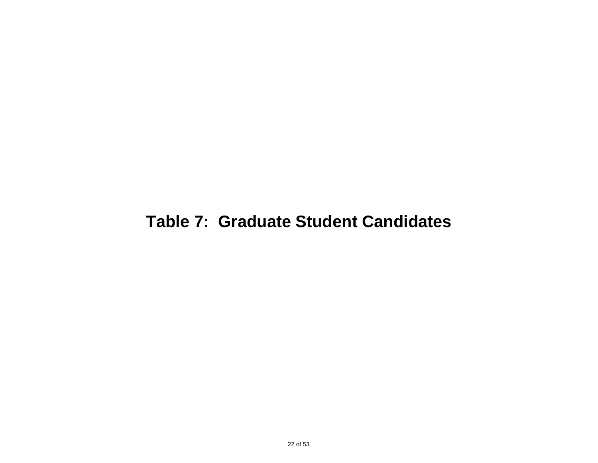## **Table 7: Graduate Student Candidates**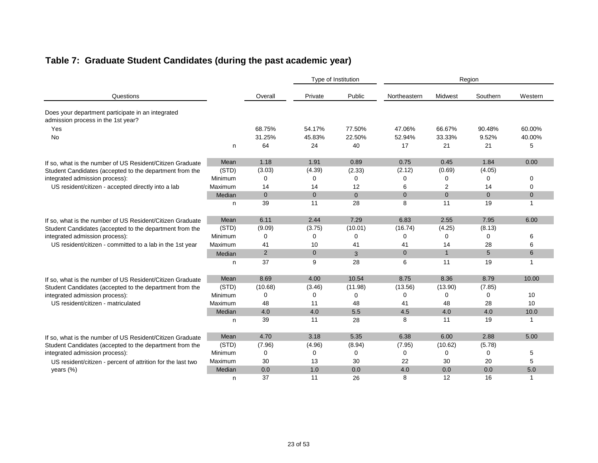### **Table 7: Graduate Student Candidates (during the past academic year)**

|                                                                                         |         |                |                | Type of Institution | Region         |                |                |              |
|-----------------------------------------------------------------------------------------|---------|----------------|----------------|---------------------|----------------|----------------|----------------|--------------|
| Questions                                                                               |         | Overall        | Private        | Public              | Northeastern   | Midwest        | Southern       | Western      |
| Does your department participate in an integrated<br>admission process in the 1st year? |         |                |                |                     |                |                |                |              |
| Yes                                                                                     |         | 68.75%         | 54.17%         | 77.50%              | 47.06%         | 66.67%         | 90.48%         | 60.00%       |
| <b>No</b>                                                                               |         | 31.25%         | 45.83%         | 22.50%              | 52.94%         | 33.33%         | 9.52%          | 40.00%       |
|                                                                                         | n       | 64             | 24             | 40                  | 17             | 21             | 21             | 5            |
| If so, what is the number of US Resident/Citizen Graduate                               | Mean    | 1.18           | 1.91           | 0.89                | 0.75           | 0.45           | 1.84           | 0.00         |
| Student Candidates (accepted to the department from the                                 | (STD)   | (3.03)         | (4.39)         | (2.33)              | (2.12)         | (0.69)         | (4.05)         |              |
| integrated admission process):                                                          | Minimum | $\Omega$       | $\Omega$       | 0                   | 0              | 0              | $\Omega$       | $\Omega$     |
| US resident/citizen - accepted directly into a lab                                      | Maximum | 14             | 14             | 12                  | 6              | 2              | 14             | $\Omega$     |
|                                                                                         | Median  | $\overline{0}$ | $\mathbf{0}$   | $\overline{0}$      | $\overline{0}$ | $\overline{0}$ | $\overline{0}$ | $\mathbf{0}$ |
|                                                                                         | n       | 39             | 11             | 28                  | 8              | 11             | 19             | 1            |
| If so, what is the number of US Resident/Citizen Graduate                               | Mean    | 6.11           | 2.44           | 7.29                | 6.83           | 2.55           | 7.95           | 6.00         |
| Student Candidates (accepted to the department from the                                 | (STD)   | (9.09)         | (3.75)         | (10.01)             | (16.74)        | (4.25)         | (8.13)         |              |
| integrated admission process):                                                          | Minimum | 0              | 0              | 0                   | 0              | 0              | $\Omega$       | 6            |
| US resident/citizen - committed to a lab in the 1st year                                | Maximum | 41             | 10             | 41                  | 41             | 14             | 28             | 6            |
|                                                                                         | Median  | $\overline{2}$ | $\overline{0}$ | 3                   | $\Omega$       | $\mathbf{1}$   | 5              | 6            |
|                                                                                         | n       | 37             | 9              | 28                  | 6              | 11             | 19             | 1            |
| If so, what is the number of US Resident/Citizen Graduate                               | Mean    | 8.69           | 4.00           | 10.54               | 8.75           | 8.36           | 8.79           | 10.00        |
| Student Candidates (accepted to the department from the                                 | (STD)   | (10.68)        | (3.46)         | (11.98)             | (13.56)        | (13.90)        | (7.85)         |              |
| integrated admission process):                                                          | Minimum | 0              | 0              | 0                   | 0              | $\mathbf 0$    | 0              | 10           |
| US resident/citizen - matriculated                                                      | Maximum | 48             | 11             | 48                  | 41             | 48             | 28             | 10           |
|                                                                                         | Median  | 4.0            | 4.0            | 5.5                 | 4.5            | 4.0            | 4.0            | 10.0         |
|                                                                                         | n       | 39             | 11             | 28                  | 8              | 11             | 19             | $\mathbf{1}$ |
| If so, what is the number of US Resident/Citizen Graduate                               | Mean    | 4.70           | 3.18           | 5.35                | 6.38           | 6.00           | 2.88           | 5.00         |
| Student Candidates (accepted to the department from the                                 | (STD)   | (7.96)         | (4.96)         | (8.94)              | (7.95)         | (10.62)        | (5.78)         |              |
| integrated admission process):                                                          | Minimum | 0              | 0              | 0                   | 0              | 0              | 0              | 5            |
| US resident/citizen - percent of attrition for the last two                             | Maximum | 30             | 13             | 30                  | 22             | 30             | 20             | 5            |
| years (%)                                                                               | Median  | 0.0            | 1.0            | 0.0                 | 4.0            | 0.0            | 0.0            | 5.0          |
|                                                                                         | n       | 37             | 11             | 26                  | 8              | 12             | 16             | 1            |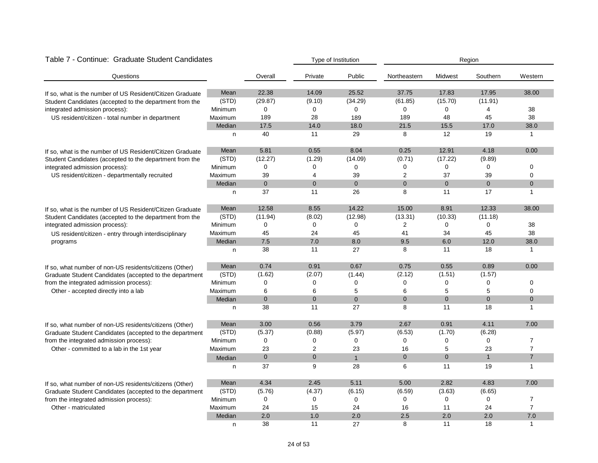| Table 7 - Continue: Graduate Student Candidates<br>Type of Institution<br>Region |         |              |                |                |                |                |                |                |
|----------------------------------------------------------------------------------|---------|--------------|----------------|----------------|----------------|----------------|----------------|----------------|
| Questions                                                                        |         | Overall      | Private        | Public         | Northeastern   | Midwest        | Southern       | Western        |
| If so, what is the number of US Resident/Citizen Graduate                        | Mean    | 22.38        | 14.09          | 25.52          | 37.75          | 17.83          | 17.95          | 38.00          |
| Student Candidates (accepted to the department from the                          | (STD)   | (29.87)      | (9.10)         | (34.29)        | (61.85)        | (15.70)        | (11.91)        |                |
| integrated admission process):                                                   | Minimum | $\mathbf 0$  | $\Omega$       | $\Omega$       | $\Omega$       | 0              | $\overline{4}$ | 38             |
| US resident/citizen - total number in department                                 | Maximum | 189          | 28             | 189            | 189            | 48             | 45             | 38             |
|                                                                                  | Median  | 17.5         | 14.0           | 18.0           | 21.5           | 15.5           | 17.0           | 38.0           |
|                                                                                  | n       | 40           | 11             | 29             | 8              | 12             | 19             | $\mathbf{1}$   |
| If so, what is the number of US Resident/Citizen Graduate                        | Mean    | 5.81         | 0.55           | 8.04           | 0.25           | 12.91          | 4.18           | 0.00           |
| Student Candidates (accepted to the department from the                          | (STD)   | (12.27)      | (1.29)         | (14.09)        | (0.71)         | (17.22)        | (9.89)         |                |
| integrated admission process):                                                   | Minimum | $\mathbf 0$  | 0              | 0              | 0              | 0              | 0              | 0              |
| US resident/citizen - departmentally recruited                                   | Maximum | 39           | 4              | 39             | $\overline{2}$ | 37             | 39             | 0              |
|                                                                                  | Median  | $\mathbf 0$  | $\mathbf{0}$   | $\overline{0}$ | $\overline{0}$ | $\overline{0}$ | $\mathbf{0}$   | $\mathbf 0$    |
|                                                                                  | n       | 37           | 11             | 26             | 8              | 11             | 17             | 1              |
| If so, what is the number of US Resident/Citizen Graduate                        | Mean    | 12.58        | 8.55           | 14.22          | 15.00          | 8.91           | 12.33          | 38.00          |
| Student Candidates (accepted to the department from the                          | (STD)   | (11.94)      | (8.02)         | (12.98)        | (13.31)        | (10.33)        | (11.18)        |                |
| integrated admission process):                                                   | Minimum | 0            | $\mathbf 0$    | 0              | $\overline{2}$ | 0              | $\mathbf 0$    | 38             |
| US resident/citizen - entry through interdisciplinary                            | Maximum | 45           | 24             | 45             | 41             | 34             | 45             | 38             |
| programs                                                                         | Median  | 7.5          | 7.0            | 8.0            | 9.5            | 6.0            | 12.0           | 38.0           |
|                                                                                  | n       | 38           | 11             | 27             | 8              | 11             | 18             | $\mathbf{1}$   |
| If so, what number of non-US residents/citizens (Other)                          | Mean    | 0.74         | 0.91           | 0.67           | 0.75           | 0.55           | 0.89           | 0.00           |
| Graduate Student Candidates (accepted to the department                          | (STD)   | (1.62)       | (2.07)         | (1.44)         | (2.12)         | (1.51)         | (1.57)         |                |
| from the integrated admission process):                                          | Minimum | 0            | 0              | 0              | 0              | 0              | 0              | 0              |
| Other - accepted directly into a lab                                             | Maximum | 6            | 6              | 5              | 6              | 5              | 5              | 0              |
|                                                                                  | Median  | $\mathbf{0}$ | $\mathbf{0}$   | $\overline{0}$ | $\overline{0}$ | $\overline{0}$ | $\mathbf{0}$   | $\mathbf 0$    |
|                                                                                  | n       | 38           | 11             | 27             | 8              | 11             | 18             | $\mathbf{1}$   |
| If so, what number of non-US residents/citizens (Other)                          | Mean    | 3.00         | 0.56           | 3.79           | 2.67           | 0.91           | 4.11           | 7.00           |
| Graduate Student Candidates (accepted to the department                          | (STD)   | (5.37)       | (0.88)         | (5.97)         | (6.53)         | (1.70)         | (6.28)         |                |
| from the integrated admission process):                                          | Minimum | 0            | 0              | 0              | 0              | 0              | $\mathbf 0$    | $\overline{7}$ |
| Other - committed to a lab in the 1st year                                       | Maximum | 23           | $\overline{2}$ | 23             | 16             | 5              | 23             | $\overline{7}$ |
|                                                                                  | Median  | $\mathbf 0$  | $\mathbf 0$    | $\mathbf{1}$   | $\overline{0}$ | $\overline{0}$ | $\mathbf{1}$   | $\overline{7}$ |
|                                                                                  | n       | 37           | 9              | 28             | 6              | 11             | 19             | $\mathbf{1}$   |
| If so, what number of non-US residents/citizens (Other)                          | Mean    | 4.34         | 2.45           | 5.11           | 5.00           | 2.82           | 4.83           | 7.00           |
| Graduate Student Candidates (accepted to the department                          | (STD)   | (5.76)       | (4.37)         | (6.15)         | (6.59)         | (3.63)         | (6.65)         |                |
| from the integrated admission process):                                          | Minimum | 0            | $\mathbf 0$    | 0              | 0              | 0              | 0              | $\overline{7}$ |
| Other - matriculated                                                             | Maximum | 24           | 15             | 24             | 16             | 11             | 24             | $\overline{7}$ |
|                                                                                  | Median  | 2.0          | 1.0            | 2.0            | 2.5            | 2.0            | 2.0            | $7.0$          |
|                                                                                  | n       | 38           | 11             | 27             | 8              | 11             | 18             | $\mathbf{1}$   |

#### 24 of 53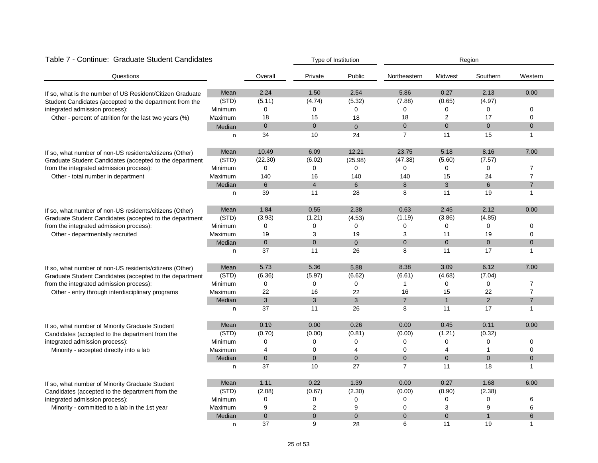| Table 7 - Continue: Graduate Student Candidates           |         |                | Type of Institution |                | Region         |                |                |                |
|-----------------------------------------------------------|---------|----------------|---------------------|----------------|----------------|----------------|----------------|----------------|
| Questions                                                 |         | Overall        | Private             | Public         | Northeastern   | Midwest        | Southern       | Western        |
| If so, what is the number of US Resident/Citizen Graduate | Mean    | 2.24           | 1.50                | 2.54           | 5.86           | 0.27           | 2.13           | 0.00           |
| Student Candidates (accepted to the department from the   | (STD)   | (5.11)         | (4.74)              | (5.32)         | (7.88)         | (0.65)         | (4.97)         |                |
| integrated admission process):                            | Minimum | 0              | $\mathbf 0$         | 0              | 0              | 0              | $\mathbf 0$    | 0              |
| Other - percent of attrition for the last two years (%)   | Maximum | 18             | 15                  | 18             | 18             | $\overline{2}$ | 17             | 0              |
|                                                           | Median  | $\mathbf 0$    | $\mathbf{0}$        | $\overline{0}$ | 0              | $\overline{0}$ | $\mathbf{0}$   | $\mathbf 0$    |
|                                                           | n       | 34             | 10                  | 24             | $\overline{7}$ | 11             | 15             | $\mathbf{1}$   |
| If so, what number of non-US residents/citizens (Other)   | Mean    | 10.49          | 6.09                | 12.21          | 23.75          | 5.18           | 8.16           | 7.00           |
| Graduate Student Candidates (accepted to the department   | (STD)   | (22.30)        | (6.02)              | (25.98)        | (47.38)        | (5.60)         | (7.57)         |                |
| from the integrated admission process):                   | Minimum | $\Omega$       | $\mathbf 0$         | $\Omega$       | 0              | 0              | $\mathbf 0$    | $\overline{7}$ |
| Other - total number in department                        | Maximum | 140            | 16                  | 140            | 140            | 15             | 24             | $\overline{7}$ |
|                                                           | Median  | 6              | $\overline{4}$      | 6              | 8              | 3              | 6              | $\overline{7}$ |
|                                                           | n       | 39             | 11                  | 28             | 8              | 11             | 19             | $\mathbf{1}$   |
| If so, what number of non-US residents/citizens (Other)   | Mean    | 1.84           | 0.55                | 2.38           | 0.63           | 2.45           | 2.12           | 0.00           |
| Graduate Student Candidates (accepted to the department   | (STD)   | (3.93)         | (1.21)              | (4.53)         | (1.19)         | (3.86)         | (4.85)         |                |
| from the integrated admission process):                   | Minimum | 0              | 0                   | 0              | 0              | 0              | $\mathbf 0$    | 0              |
| Other - departmentally recruited                          | Maximum | 19             | 3                   | 19             | 3              | 11             | 19             | 0              |
|                                                           | Median  | $\overline{0}$ | $\mathbf{0}$        | $\overline{0}$ | $\overline{0}$ | $\overline{0}$ | $\mathbf{0}$   | $\mathbf 0$    |
|                                                           | n       | 37             | 11                  | 26             | 8              | 11             | 17             | $\mathbf{1}$   |
| If so, what number of non-US residents/citizens (Other)   | Mean    | 5.73           | 5.36                | 5.88           | 8.38           | 3.09           | 6.12           | 7.00           |
| Graduate Student Candidates (accepted to the department   | (STD)   | (6.36)         | (5.97)              | (6.62)         | (6.61)         | (4.68)         | (7.04)         |                |
| from the integrated admission process):                   | Minimum | 0              | 0                   | 0              | 1              | 0              | $\mathbf 0$    | $\overline{7}$ |
| Other - entry through interdisciplinary programs          | Maximum | 22             | 16                  | 22             | 16             | 15             | 22             | 7              |
|                                                           | Median  | 3              | 3                   | 3              | $\overline{7}$ | $\mathbf{1}$   | $\overline{2}$ | $\overline{7}$ |
|                                                           | n       | 37             | 11                  | 26             | 8              | 11             | 17             | $\mathbf{1}$   |
| If so, what number of Minority Graduate Student           | Mean    | 0.19           | 0.00                | 0.26           | 0.00           | 0.45           | 0.11           | 0.00           |
| Candidates (accepted to the department from the           | (STD)   | (0.70)         | (0.00)              | (0.81)         | (0.00)         | (1.21)         | (0.32)         |                |
| integrated admission process):                            | Minimum | 0              | $\mathbf 0$         | 0              | 0              | 0              | $\mathbf 0$    | 0              |
| Minority - accepted directly into a lab                   | Maximum | 4              | 0                   | 4              | 0              | 4              | 1              | 0              |
|                                                           | Median  | $\mathbf{0}$   | $\mathbf{0}$        | $\overline{0}$ | $\overline{0}$ | $\overline{0}$ | $\mathbf{0}$   | $\overline{0}$ |
|                                                           | n       | 37             | 10                  | 27             | $\overline{7}$ | 11             | 18             | $\mathbf{1}$   |
| If so, what number of Minority Graduate Student           | Mean    | 1.11           | 0.22                | 1.39           | 0.00           | 0.27           | 1.68           | 6.00           |
| Candidates (accepted to the department from the           | (STD)   | (2.08)         | (0.67)              | (2.30)         | (0.00)         | (0.90)         | (2.38)         |                |
| integrated admission process):                            | Minimum | 0              | $\mathbf 0$         | 0              | 0              | 0              | $\mathbf 0$    | 6              |
| Minority - committed to a lab in the 1st year             | Maximum | 9              | $\overline{2}$      | 9              | 0              | 3              | 9              | 6              |
|                                                           | Median  | $\mathbf 0$    | $\mathbf{0}$        | $\overline{0}$ | $\overline{0}$ | $\overline{0}$ | $\mathbf{1}$   | 6              |
|                                                           | n       | 37             | 9                   | 28             | 6              | 11             | 19             | $\mathbf{1}$   |

#### Table 7 - Continue: Graduate Student Candidates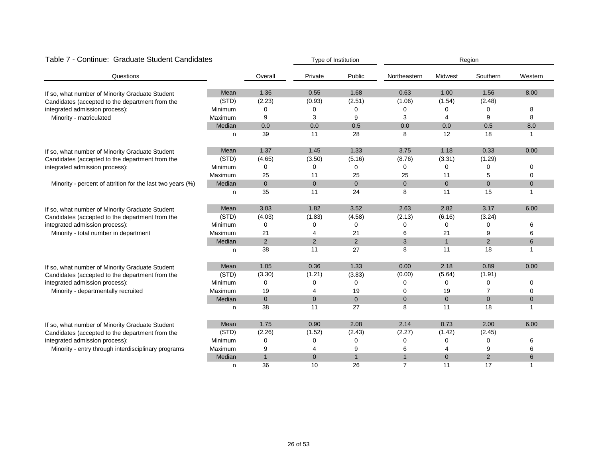| Table 7 - Continue: Graduate Student Candidates            |         |              |                | Type of Institution |                | Region         |              |                |
|------------------------------------------------------------|---------|--------------|----------------|---------------------|----------------|----------------|--------------|----------------|
| Questions                                                  |         | Overall      | Private        | Public              | Northeastern   | Midwest        | Southern     | Western        |
| If so, what number of Minority Graduate Student            | Mean    | 1.36         | 0.55           | 1.68                | 0.63           | 1.00           | 1.56         | 8.00           |
| Candidates (accepted to the department from the            | (STD)   | (2.23)       | (0.93)         | (2.51)              | (1.06)         | (1.54)         | (2.48)       |                |
| integrated admission process):                             | Minimum | 0            | 0              | 0                   | 0              | 0              | 0            | 8              |
| Minority - matriculated                                    | Maximum | 9            | 3              | 9                   | 3              | 4              | 9            | 8              |
|                                                            | Median  | 0.0          | 0.0            | 0.5                 | 0.0            | 0.0            | 0.5          | 8.0            |
|                                                            | n       | 39           | 11             | 28                  | 8              | 12             | 18           |                |
| If so, what number of Minority Graduate Student            | Mean    | 1.37         | 1.45           | 1.33                | 3.75           | 1.18           | 0.33         | 0.00           |
| Candidates (accepted to the department from the            | (STD)   | (4.65)       | (3.50)         | (5.16)              | (8.76)         | (3.31)         | (1.29)       |                |
| integrated admission process):                             | Minimum | 0            | 0              | 0                   | 0              | 0              | 0            | $\mathbf 0$    |
|                                                            | Maximum | 25           | 11             | 25                  | 25             | 11             | 5            | $\overline{0}$ |
| Minority - percent of attrition for the last two years (%) | Median  | $\mathbf{0}$ | $\mathbf 0$    | $\mathbf{0}$        | $\overline{0}$ | $\mathbf{0}$   | $\mathbf{0}$ | $\pmb{0}$      |
|                                                            | n       | 35           | 11             | 24                  | 8              | 11             | 15           | 1              |
| If so, what number of Minority Graduate Student            | Mean    | 3.03         | 1.82           | 3.52                | 2.63           | 2.82           | 3.17         | 6.00           |
| Candidates (accepted to the department from the            | (STD)   | (4.03)       | (1.83)         | (4.58)              | (2.13)         | (6.16)         | (3.24)       |                |
| integrated admission process):                             | Minimum | $\Omega$     | 0              | 0                   | 0              | $\Omega$       | $\Omega$     | 6              |
| Minority - total number in department                      | Maximum | 21           | 4              | 21                  | 6              | 21             | 9            | 6              |
|                                                            | Median  | 2            | 2              | 2                   | 3              | $\mathbf{1}$   | 2            | 6              |
|                                                            | n       | 38           | 11             | 27                  | 8              | 11             | 18           | $\mathbf{1}$   |
| If so, what number of Minority Graduate Student            | Mean    | 1.05         | 0.36           | 1.33                | 0.00           | 2.18           | 0.89         | 0.00           |
| Candidates (accepted to the department from the            | (STD)   | (3.30)       | (1.21)         | (3.83)              | (0.00)         | (5.64)         | (1.91)       |                |
| integrated admission process):                             | Minimum | 0            | O              | 0                   | 0              | 0              | 0            | $\Omega$       |
| Minority - departmentally recruited                        | Maximum | 19           | 4              | 19                  | 0              | 19             | 7            | 0              |
|                                                            | Median  | $\mathbf 0$  | $\overline{0}$ | $\overline{0}$      | $\mathbf{0}$   | $\overline{0}$ | $\mathbf{0}$ | $\mathbf 0$    |
|                                                            | n       | 38           | 11             | 27                  | 8              | 11             | 18           | $\mathbf{1}$   |
| If so, what number of Minority Graduate Student            | Mean    | 1.75         | 0.90           | 2.08                | 2.14           | 0.73           | 2.00         | 6.00           |
| Candidates (accepted to the department from the            | (STD)   | (2.26)       | (1.52)         | (2.43)              | (2.27)         | (1.42)         | (2.45)       |                |
| integrated admission process):                             | Minimum | 0            | $\mathbf 0$    | 0                   | 0              | 0              | 0            | 6              |
| Minority - entry through interdisciplinary programs        | Maximum | 9            | 4              | 9                   | 6              |                | 9            | 6              |
|                                                            | Median  | $\mathbf{1}$ | $\mathbf{0}$   | $\mathbf{1}$        | $\mathbf{1}$   | $\mathbf 0$    | 2            | 6              |
|                                                            | n       | 36           | 10             | 26                  | $\overline{7}$ | 11             | 17           |                |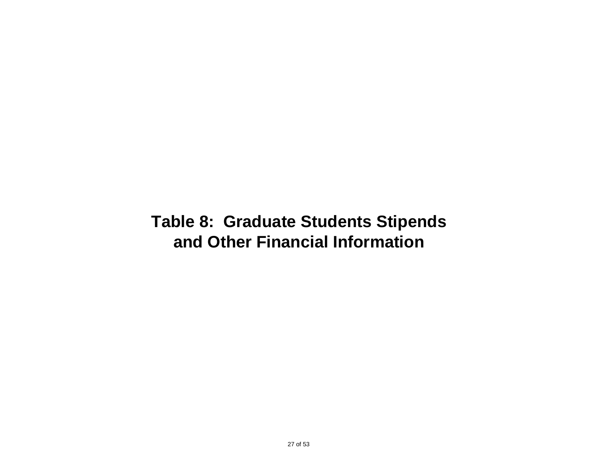### **Table 8: Graduate Students Stipends and Other Financial Information**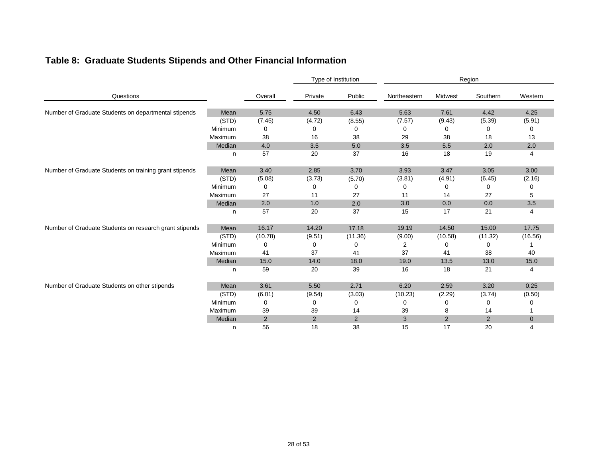|  |  |  |  |  |  |  | Table 8: Graduate Students Stipends and Other Financial Information |
|--|--|--|--|--|--|--|---------------------------------------------------------------------|
|--|--|--|--|--|--|--|---------------------------------------------------------------------|

|                                                        |         |                |         | Type of Institution | Region       |                |          |                |
|--------------------------------------------------------|---------|----------------|---------|---------------------|--------------|----------------|----------|----------------|
| Questions                                              |         | Overall        | Private | Public              | Northeastern | Midwest        | Southern | Western        |
| Number of Graduate Students on departmental stipends   | Mean    | 5.75           | 4.50    | 6.43                | 5.63         | 7.61           | 4.42     | 4.25           |
|                                                        | (STD)   | (7.45)         | (4.72)  | (8.55)              | (7.57)       | (9.43)         | (5.39)   | (5.91)         |
|                                                        | Minimum | 0              | 0       | 0                   | 0            | 0              | 0        | 0              |
|                                                        | Maximum | 38             | 16      | 38                  | 29           | 38             | 18       | 13             |
|                                                        | Median  | 4.0            | 3.5     | 5.0                 | 3.5          | 5.5            | 2.0      | 2.0            |
|                                                        | n       | 57             | 20      | 37                  | 16           | 18             | 19       | 4              |
| Number of Graduate Students on training grant stipends | Mean    | 3.40           | 2.85    | 3.70                | 3.93         | 3.47           | 3.05     | 3.00           |
|                                                        | (STD)   | (5.08)         | (3.73)  | (5.70)              | (3.81)       | (4.91)         | (6.45)   | (2.16)         |
|                                                        | Minimum | 0              | 0       | 0                   | 0            | 0              | 0        | 0              |
|                                                        | Maximum | 27             | 11      | 27                  | 11           | 14             | 27       | 5              |
|                                                        | Median  | 2.0            | 1.0     | 2.0                 | 3.0          | 0.0            | 0.0      | 3.5            |
|                                                        | n       | 57             | 20      | 37                  | 15           | 17             | 21       | 4              |
| Number of Graduate Students on research grant stipends | Mean    | 16.17          | 14.20   | 17.18               | 19.19        | 14.50          | 15.00    | 17.75          |
|                                                        | (STD)   | (10.78)        | (9.51)  | (11.36)             | (9.00)       | (10.58)        | (11.32)  | (16.56)        |
|                                                        | Minimum | 0              | O       | 0                   | 2            | 0              | 0        |                |
|                                                        | Maximum | 41             | 37      | 41                  | 37           | 41             | 38       | 40             |
|                                                        | Median  | 15.0           | 14.0    | 18.0                | 19.0         | 13.5           | 13.0     | 15.0           |
|                                                        | n       | 59             | 20      | 39                  | 16           | 18             | 21       | 4              |
| Number of Graduate Students on other stipends          | Mean    | 3.61           | 5.50    | 2.71                | 6.20         | 2.59           | 3.20     | 0.25           |
|                                                        | (STD)   | (6.01)         | (9.54)  | (3.03)              | (10.23)      | (2.29)         | (3.74)   | (0.50)         |
|                                                        | Minimum | 0              |         | 0                   | 0            | O              | 0        | O              |
|                                                        | Maximum | 39             | 39      | 14                  | 39           | 8              | 14       |                |
|                                                        | Median  | $\overline{2}$ | 2       | 2                   | 3            | $\overline{2}$ | 2        | $\overline{0}$ |
|                                                        | n       | 56             | 18      | 38                  | 15           | 17             | 20       | 4              |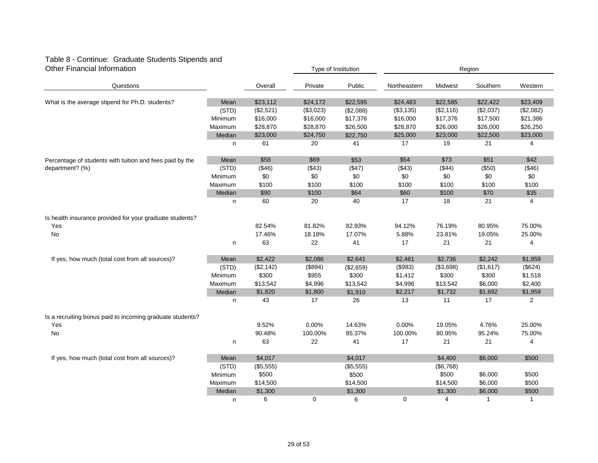#### Table 8 - Continue: Graduate Students Stipends and Other Financial Information **Type of Institution** Type of Institution **Type of Institution** Region

|                                                           |         |           |           | ו יוטוויטנונענוטו וט |              |           | 1.9901       |                |
|-----------------------------------------------------------|---------|-----------|-----------|----------------------|--------------|-----------|--------------|----------------|
| Questions                                                 |         | Overall   | Private   | Public               | Northeastern | Midwest   | Southern     | Western        |
| What is the average stipend for Ph.D. students?           | Mean    | \$23,112  | \$24,172  | \$22,595             | \$24,483     | \$22,585  | \$22,422     | \$23,409       |
|                                                           | (STD)   | (\$2,521) | (\$3,023) | (\$2,088)            | (\$3,135)    | (\$2,116) | (\$2,037)    | (\$2,082)      |
|                                                           | Minimum | \$16,000  | \$16,000  | \$17,376             | \$16,000     | \$17,376  | \$17,500     | \$21,386       |
|                                                           | Maximum | \$28,870  | \$28,870  | \$26,500             | \$28,870     | \$26,000  | \$26,000     | \$26,250       |
|                                                           | Median  | \$23,000  | \$24,750  | \$22,750             | \$25,000     | \$23,000  | \$22,500     | \$23,000       |
|                                                           | n       | 61        | 20        | 41                   | 17           | 19        | 21           | 4              |
| Percentage of students with tuition and fees paid by the  | Mean    | \$58      | \$69      | \$53                 | \$54         | \$73      | \$51         | \$42           |
| department? (%)                                           | (STD)   | ( \$46)   | (\$43)    | (\$47)               | (\$43)       | (\$44)    | (\$50)       | (\$46)         |
|                                                           | Minimum | \$0       | \$0       | \$0                  | \$0          | \$0       | \$0          | \$0            |
|                                                           | Maximum | \$100     | \$100     | \$100                | \$100        | \$100     | \$100        | \$100          |
|                                                           | Median  | \$90      | \$100     | \$64                 | \$60         | \$100     | \$70         | \$35           |
|                                                           | n       | 60        | 20        | 40                   | 17           | 18        | 21           | 4              |
| Is health insurance provided for your graduate students?  |         |           |           |                      |              |           |              |                |
| Yes                                                       |         | 82.54%    | 81.82%    | 82.93%               | 94.12%       | 76.19%    | 80.95%       | 75.00%         |
| No                                                        |         | 17.46%    | 18.18%    | 17.07%               | 5.88%        | 23.81%    | 19.05%       | 25.00%         |
|                                                           | n       | 63        | 22        | 41                   | 17           | 21        | 21           | 4              |
| If yes, how much (total cost from all sources)?           | Mean    | \$2,422   | \$2,086   | \$2,641              | \$2,461      | \$2,736   | \$2,242      | \$1,959        |
|                                                           | (STD)   | (\$2,142) | (\$894)   | (\$2,659)            | (\$983)      | (\$3,698) | (\$1,617)    | (\$624)        |
|                                                           | Minimum | \$300     | \$955     | \$300                | \$1,412      | \$300     | \$300        | \$1,518        |
|                                                           | Maximum | \$13,542  | \$4,996   | \$13,542             | \$4,996      | \$13,542  | \$6,000      | \$2,400        |
|                                                           | Median  | \$1,820   | \$1,800   | \$1,910              | \$2,217      | \$1,732   | \$1,692      | \$1,959        |
|                                                           | n       | 43        | 17        | 26                   | 13           | 11        | 17           | $\overline{2}$ |
| Is a recruiting bonus paid to incoming graduate students? |         |           |           |                      |              |           |              |                |
| Yes                                                       |         | 9.52%     | 0.00%     | 14.63%               | 0.00%        | 19.05%    | 4.76%        | 25.00%         |
| No                                                        |         | 90.48%    | 100.00%   | 85.37%               | 100.00%      | 80.95%    | 95.24%       | 75.00%         |
|                                                           | n       | 63        | 22        | 41                   | 17           | 21        | 21           | 4              |
| If yes, how much (total cost from all sources)?           | Mean    | \$4,017   |           | \$4,017              |              | \$4,400   | \$6,000      | \$500          |
|                                                           | (STD)   | (\$5,555) |           | (\$5,555)            |              | (\$6,768) |              |                |
|                                                           | Minimum | \$500     |           | \$500                |              | \$500     | \$6,000      | \$500          |
|                                                           | Maximum | \$14,500  |           | \$14,500             |              | \$14,500  | \$6,000      | \$500          |
|                                                           | Median  | \$1,300   |           | \$1,300              |              | \$1,300   | \$6,000      | \$500          |
|                                                           | n       | 6         | 0         | 6                    | 0            | 4         | $\mathbf{1}$ | $\mathbf{1}$   |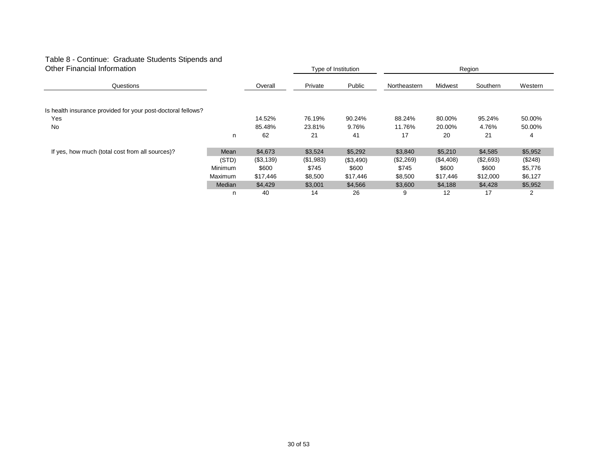#### Table 8 - Continue: Graduate Students Stipends and Other Financial Information

| Other Financial Information                                  |         |           |           | Type of Institution | Region       |           |           |                |
|--------------------------------------------------------------|---------|-----------|-----------|---------------------|--------------|-----------|-----------|----------------|
| Questions                                                    |         | Overall   | Private   | Public              | Northeastern | Midwest   | Southern  | Western        |
| Is health insurance provided for your post-doctoral fellows? |         |           |           |                     |              |           |           |                |
| Yes                                                          |         | 14.52%    | 76.19%    | 90.24%              | 88.24%       | 80.00%    | 95.24%    | 50.00%         |
| No                                                           |         | 85.48%    | 23.81%    | 9.76%               | 11.76%       | 20.00%    | 4.76%     | 50.00%         |
|                                                              | n       | 62        | 21        | 41                  | 17           | 20        | 21        | 4              |
| If yes, how much (total cost from all sources)?              | Mean    | \$4,673   | \$3,524   | \$5,292             | \$3,840      | \$5,210   | \$4,585   | \$5,952        |
|                                                              | (STD)   | (\$3,139) | (\$1,983) | (\$3,490)           | (\$2,269)    | (\$4,408) | (\$2,693) | (\$248)        |
|                                                              | Minimum | \$600     | \$745     | \$600               | \$745        | \$600     | \$600     | \$5,776        |
|                                                              | Maximum | \$17,446  | \$8,500   | \$17,446            | \$8,500      | \$17,446  | \$12,000  | \$6,127        |
|                                                              | Median  | \$4,429   | \$3,001   | \$4,566             | \$3,600      | \$4,188   | \$4,428   | \$5,952        |
|                                                              | n       | 40        | 14        | 26                  | 9            | 12        | 17        | $\overline{2}$ |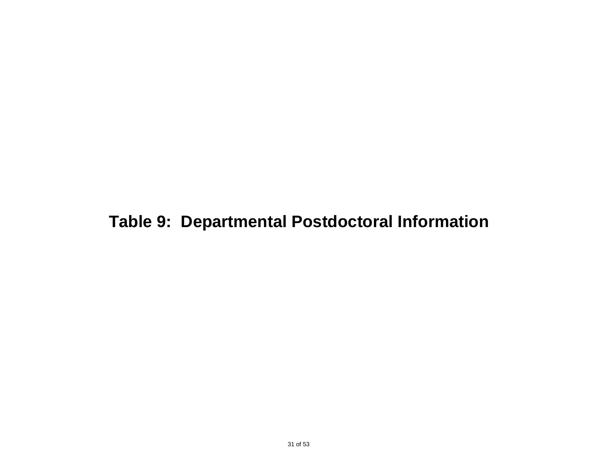## **Table 9: Departmental Postdoctoral Information**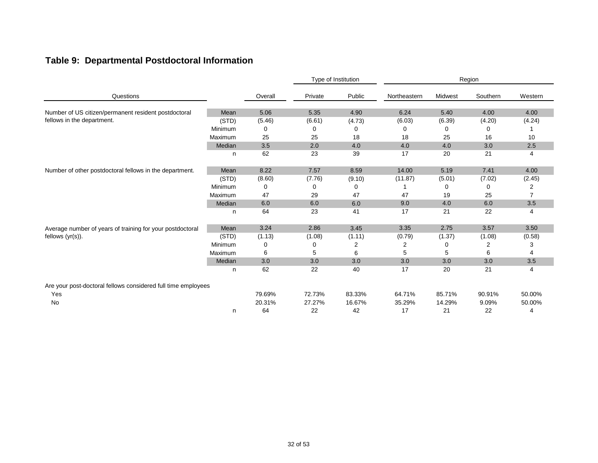### **Table 9: Departmental Postdoctoral Information**

|                                                               |         | Type of Institution                                                                                                                                                                                                                                                                                                                                                                                                                                                                                                                                                                                                                                                                                                                                                                                                                                                                                                                                                                                                                                                                                      |         |    |    | Region |    |                |  |
|---------------------------------------------------------------|---------|----------------------------------------------------------------------------------------------------------------------------------------------------------------------------------------------------------------------------------------------------------------------------------------------------------------------------------------------------------------------------------------------------------------------------------------------------------------------------------------------------------------------------------------------------------------------------------------------------------------------------------------------------------------------------------------------------------------------------------------------------------------------------------------------------------------------------------------------------------------------------------------------------------------------------------------------------------------------------------------------------------------------------------------------------------------------------------------------------------|---------|----|----|--------|----|----------------|--|
| Questions                                                     |         | Public<br>Southern<br>Overall<br>Private<br>Northeastern<br>Midwest<br>5.06<br>5.35<br>4.90<br>6.24<br>5.40<br>4.00<br>Mean<br>(STD)<br>(6.61)<br>(4.73)<br>(6.39)<br>(4.20)<br>(5.46)<br>(6.03)<br>Minimum<br>$\Omega$<br>0<br>0<br>0<br>0<br>0<br>25<br>25<br>18<br>18<br>25<br>16<br>Median<br>3.5<br>2.0<br>3.0<br>4.0<br>4.0<br>4.0<br>62<br>23<br>39<br>17<br>20<br>21<br>n<br>8.22<br>7.57<br>8.59<br>14.00<br>5.19<br>7.41<br>Mean<br>(STD)<br>(7.76)<br>(9.10)<br>(7.02)<br>(8.60)<br>(11.87)<br>(5.01)<br>Minimum<br>0<br>0<br>0<br>0<br>47<br>29<br>47<br>19<br>25<br>47<br>Median<br>6.0<br>6.0<br>6.0<br>9.0<br>4.0<br>6.0<br>64<br>17<br>21<br>23<br>41<br>22<br>n<br>3.24<br>2.86<br>3.45<br>3.35<br>2.75<br>3.57<br>Mean<br>(STD)<br>(1.13)<br>(1.08)<br>(0.79)<br>(1.37)<br>(1.08)<br>(1.11)<br>Minimum<br>2<br>2<br>2<br>0<br>0<br>0<br>6<br>6<br>5<br>6<br>5<br>5<br>3.0<br>Median<br>3.0<br>3.0<br>3.0<br>3.0<br>3.0<br>62<br>22<br>40<br>17<br>20<br>21<br>n<br>79.69%<br>72.73%<br>83.33%<br>64.71%<br>85.71%<br>90.91%<br>20.31%<br>27.27%<br>16.67%<br>35.29%<br>14.29%<br>9.09% | Western |    |    |        |    |                |  |
| Number of US citizen/permanent resident postdoctoral          |         |                                                                                                                                                                                                                                                                                                                                                                                                                                                                                                                                                                                                                                                                                                                                                                                                                                                                                                                                                                                                                                                                                                          |         |    |    |        |    | 4.00           |  |
| fellows in the department.                                    |         |                                                                                                                                                                                                                                                                                                                                                                                                                                                                                                                                                                                                                                                                                                                                                                                                                                                                                                                                                                                                                                                                                                          |         |    |    |        |    | (4.24)         |  |
|                                                               |         |                                                                                                                                                                                                                                                                                                                                                                                                                                                                                                                                                                                                                                                                                                                                                                                                                                                                                                                                                                                                                                                                                                          |         |    |    |        |    |                |  |
|                                                               | Maximum |                                                                                                                                                                                                                                                                                                                                                                                                                                                                                                                                                                                                                                                                                                                                                                                                                                                                                                                                                                                                                                                                                                          |         |    |    |        |    | 10             |  |
|                                                               |         |                                                                                                                                                                                                                                                                                                                                                                                                                                                                                                                                                                                                                                                                                                                                                                                                                                                                                                                                                                                                                                                                                                          |         |    |    |        |    | 2.5            |  |
|                                                               |         |                                                                                                                                                                                                                                                                                                                                                                                                                                                                                                                                                                                                                                                                                                                                                                                                                                                                                                                                                                                                                                                                                                          |         |    |    |        |    | 4              |  |
| Number of other postdoctoral fellows in the department.       |         |                                                                                                                                                                                                                                                                                                                                                                                                                                                                                                                                                                                                                                                                                                                                                                                                                                                                                                                                                                                                                                                                                                          |         |    |    |        |    | 4.00           |  |
|                                                               |         |                                                                                                                                                                                                                                                                                                                                                                                                                                                                                                                                                                                                                                                                                                                                                                                                                                                                                                                                                                                                                                                                                                          |         |    |    |        |    | (2.45)         |  |
|                                                               |         |                                                                                                                                                                                                                                                                                                                                                                                                                                                                                                                                                                                                                                                                                                                                                                                                                                                                                                                                                                                                                                                                                                          |         |    |    |        |    | 2              |  |
|                                                               | Maximum |                                                                                                                                                                                                                                                                                                                                                                                                                                                                                                                                                                                                                                                                                                                                                                                                                                                                                                                                                                                                                                                                                                          |         |    |    |        |    | $\overline{7}$ |  |
|                                                               |         |                                                                                                                                                                                                                                                                                                                                                                                                                                                                                                                                                                                                                                                                                                                                                                                                                                                                                                                                                                                                                                                                                                          |         |    |    |        |    | 3.5            |  |
|                                                               |         |                                                                                                                                                                                                                                                                                                                                                                                                                                                                                                                                                                                                                                                                                                                                                                                                                                                                                                                                                                                                                                                                                                          |         |    |    |        |    | 4              |  |
| Average number of years of training for your postdoctoral     |         |                                                                                                                                                                                                                                                                                                                                                                                                                                                                                                                                                                                                                                                                                                                                                                                                                                                                                                                                                                                                                                                                                                          |         |    |    |        |    | 3.50           |  |
| fellows $(yr(s))$ .                                           |         |                                                                                                                                                                                                                                                                                                                                                                                                                                                                                                                                                                                                                                                                                                                                                                                                                                                                                                                                                                                                                                                                                                          |         |    |    |        |    | (0.58)         |  |
|                                                               |         |                                                                                                                                                                                                                                                                                                                                                                                                                                                                                                                                                                                                                                                                                                                                                                                                                                                                                                                                                                                                                                                                                                          |         |    |    |        |    | З              |  |
|                                                               | Maximum |                                                                                                                                                                                                                                                                                                                                                                                                                                                                                                                                                                                                                                                                                                                                                                                                                                                                                                                                                                                                                                                                                                          |         |    |    |        |    | 4              |  |
|                                                               |         |                                                                                                                                                                                                                                                                                                                                                                                                                                                                                                                                                                                                                                                                                                                                                                                                                                                                                                                                                                                                                                                                                                          |         |    |    |        |    | 3.5            |  |
|                                                               |         |                                                                                                                                                                                                                                                                                                                                                                                                                                                                                                                                                                                                                                                                                                                                                                                                                                                                                                                                                                                                                                                                                                          |         |    |    |        |    | 4              |  |
| Are your post-doctoral fellows considered full time employees |         |                                                                                                                                                                                                                                                                                                                                                                                                                                                                                                                                                                                                                                                                                                                                                                                                                                                                                                                                                                                                                                                                                                          |         |    |    |        |    |                |  |
| Yes                                                           |         |                                                                                                                                                                                                                                                                                                                                                                                                                                                                                                                                                                                                                                                                                                                                                                                                                                                                                                                                                                                                                                                                                                          |         |    |    |        |    | 50.00%         |  |
| No                                                            |         |                                                                                                                                                                                                                                                                                                                                                                                                                                                                                                                                                                                                                                                                                                                                                                                                                                                                                                                                                                                                                                                                                                          |         |    |    |        |    | 50.00%         |  |
|                                                               | n       | 64                                                                                                                                                                                                                                                                                                                                                                                                                                                                                                                                                                                                                                                                                                                                                                                                                                                                                                                                                                                                                                                                                                       | 22      | 42 | 17 | 21     | 22 | 4              |  |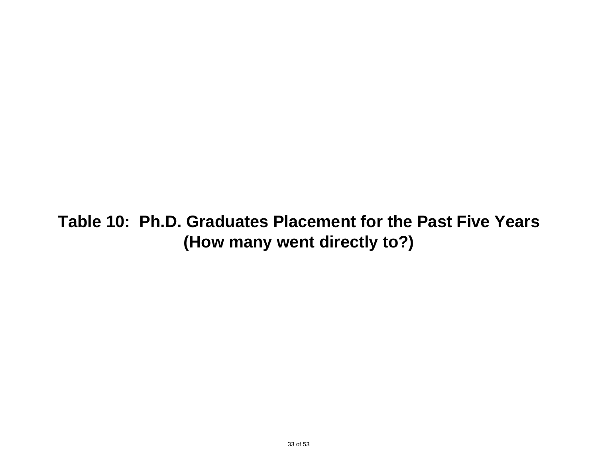## **Table 10: Ph.D. Graduates Placement for the Past Five Years (How many went directly to?)**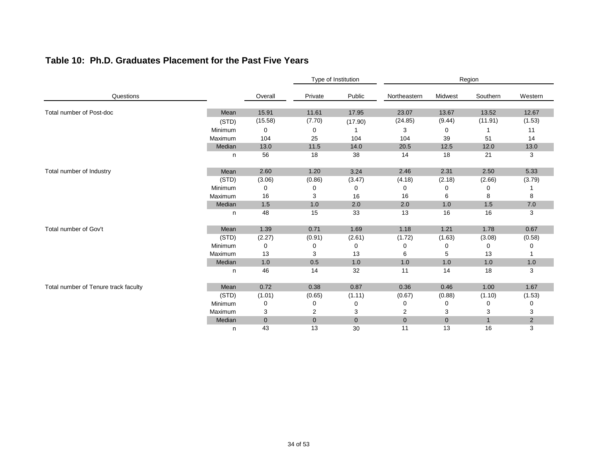|                                      |         |                                                                                                                                                                                                                                                                                                                                                                                                                                                                                                                                                                                                                                                                                                                                                                                                                                                                                                                               |             | Type of Institution |              | Region       |              |         |  |
|--------------------------------------|---------|-------------------------------------------------------------------------------------------------------------------------------------------------------------------------------------------------------------------------------------------------------------------------------------------------------------------------------------------------------------------------------------------------------------------------------------------------------------------------------------------------------------------------------------------------------------------------------------------------------------------------------------------------------------------------------------------------------------------------------------------------------------------------------------------------------------------------------------------------------------------------------------------------------------------------------|-------------|---------------------|--------------|--------------|--------------|---------|--|
| Questions                            |         | Overall                                                                                                                                                                                                                                                                                                                                                                                                                                                                                                                                                                                                                                                                                                                                                                                                                                                                                                                       | Private     | Public              | Northeastern | Midwest      | Southern     | Western |  |
| Total number of Post-doc             | Mean    |                                                                                                                                                                                                                                                                                                                                                                                                                                                                                                                                                                                                                                                                                                                                                                                                                                                                                                                               |             |                     |              |              |              | 12.67   |  |
|                                      | (STD)   |                                                                                                                                                                                                                                                                                                                                                                                                                                                                                                                                                                                                                                                                                                                                                                                                                                                                                                                               |             |                     |              |              |              | (1.53)  |  |
|                                      | Minimum |                                                                                                                                                                                                                                                                                                                                                                                                                                                                                                                                                                                                                                                                                                                                                                                                                                                                                                                               |             |                     |              |              |              | 11      |  |
|                                      | Maximum | 15.91<br>11.61<br>17.95<br>23.07<br>13.67<br>13.52<br>(15.58)<br>(7.70)<br>(24.85)<br>(9.44)<br>(11.91)<br>(17.90)<br>0<br>3<br>0<br>0<br>104<br>25<br>104<br>104<br>39<br>51<br>11.5<br>14.0<br>13.0<br>20.5<br>12.5<br>12.0<br>56<br>18<br>14<br>18<br>21<br>38<br>2.60<br>1.20<br>2.46<br>2.50<br>3.24<br>2.31<br>(3.06)<br>(0.86)<br>(4.18)<br>(2.18)<br>(2.66)<br>(3.47)<br>0<br>0<br>0<br>0<br>0<br>0<br>16<br>16<br>8<br>3<br>16<br>6<br>1.5<br>1.0<br>2.0<br>2.0<br>1.0<br>1.5<br>48<br>16<br>15<br>33<br>13<br>16<br>0.71<br>1.39<br>1.69<br>1.18<br>1.21<br>1.78<br>(1.72)<br>(1.63)<br>(3.08)<br>(2.27)<br>(0.91)<br>(2.61)<br>0<br>0<br>0<br>0<br>0<br>0<br>13<br>3<br>13<br>5<br>13<br>6<br>0.5<br>1.0<br>1.0<br>1.0<br>1.0<br>1.0<br>46<br>14<br>32<br>11<br>14<br>18<br>0.72<br>0.38<br>0.87<br>0.36<br>1.00<br>0.46<br>(1.01)<br>(0.65)<br>(1.11)<br>(0.67)<br>(0.88)<br>(1.10)<br>0<br>0<br>0<br>0<br>0<br>0 | 14          |                     |              |              |              |         |  |
|                                      | Median  |                                                                                                                                                                                                                                                                                                                                                                                                                                                                                                                                                                                                                                                                                                                                                                                                                                                                                                                               |             |                     |              |              |              | 13.0    |  |
|                                      | n       |                                                                                                                                                                                                                                                                                                                                                                                                                                                                                                                                                                                                                                                                                                                                                                                                                                                                                                                               |             |                     |              |              |              | 3       |  |
| Total number of Industry             | Mean    |                                                                                                                                                                                                                                                                                                                                                                                                                                                                                                                                                                                                                                                                                                                                                                                                                                                                                                                               |             |                     |              |              |              | 5.33    |  |
|                                      | (STD)   |                                                                                                                                                                                                                                                                                                                                                                                                                                                                                                                                                                                                                                                                                                                                                                                                                                                                                                                               |             |                     |              |              |              | (3.79)  |  |
|                                      | Minimum |                                                                                                                                                                                                                                                                                                                                                                                                                                                                                                                                                                                                                                                                                                                                                                                                                                                                                                                               |             |                     |              |              |              |         |  |
|                                      | Maximum |                                                                                                                                                                                                                                                                                                                                                                                                                                                                                                                                                                                                                                                                                                                                                                                                                                                                                                                               |             |                     |              |              |              | 8       |  |
|                                      | Median  |                                                                                                                                                                                                                                                                                                                                                                                                                                                                                                                                                                                                                                                                                                                                                                                                                                                                                                                               |             |                     |              |              |              | $7.0$   |  |
|                                      | n       |                                                                                                                                                                                                                                                                                                                                                                                                                                                                                                                                                                                                                                                                                                                                                                                                                                                                                                                               |             |                     |              |              |              | 3       |  |
| Total number of Gov't                | Mean    |                                                                                                                                                                                                                                                                                                                                                                                                                                                                                                                                                                                                                                                                                                                                                                                                                                                                                                                               |             |                     |              |              |              | 0.67    |  |
|                                      | (STD)   |                                                                                                                                                                                                                                                                                                                                                                                                                                                                                                                                                                                                                                                                                                                                                                                                                                                                                                                               |             |                     |              |              |              | (0.58)  |  |
|                                      | Minimum |                                                                                                                                                                                                                                                                                                                                                                                                                                                                                                                                                                                                                                                                                                                                                                                                                                                                                                                               |             |                     |              |              |              | 0       |  |
|                                      | Maximum |                                                                                                                                                                                                                                                                                                                                                                                                                                                                                                                                                                                                                                                                                                                                                                                                                                                                                                                               |             |                     |              |              |              |         |  |
|                                      | Median  |                                                                                                                                                                                                                                                                                                                                                                                                                                                                                                                                                                                                                                                                                                                                                                                                                                                                                                                               |             |                     |              |              |              | 1.0     |  |
|                                      | n       |                                                                                                                                                                                                                                                                                                                                                                                                                                                                                                                                                                                                                                                                                                                                                                                                                                                                                                                               |             |                     |              |              |              | 3       |  |
| Total number of Tenure track faculty | Mean    |                                                                                                                                                                                                                                                                                                                                                                                                                                                                                                                                                                                                                                                                                                                                                                                                                                                                                                                               |             |                     |              |              |              | 1.67    |  |
|                                      | (STD)   |                                                                                                                                                                                                                                                                                                                                                                                                                                                                                                                                                                                                                                                                                                                                                                                                                                                                                                                               |             |                     |              |              |              | (1.53)  |  |
|                                      | Minimum |                                                                                                                                                                                                                                                                                                                                                                                                                                                                                                                                                                                                                                                                                                                                                                                                                                                                                                                               |             |                     |              |              |              | 0       |  |
|                                      | Maximum | 3                                                                                                                                                                                                                                                                                                                                                                                                                                                                                                                                                                                                                                                                                                                                                                                                                                                                                                                             | 2           | 3                   | 2            | 3            | 3            | 3       |  |
|                                      | Median  | $\mathbf 0$                                                                                                                                                                                                                                                                                                                                                                                                                                                                                                                                                                                                                                                                                                                                                                                                                                                                                                                   | $\mathbf 0$ | $\overline{0}$      | $\mathbf{0}$ | $\mathbf{0}$ | $\mathbf{1}$ | 2       |  |
|                                      | n       | 43                                                                                                                                                                                                                                                                                                                                                                                                                                                                                                                                                                                                                                                                                                                                                                                                                                                                                                                            | 13          | 30                  | 11           | 13           | 16           | 3       |  |

### **Table 10: Ph.D. Graduates Placement for the Past Five Years**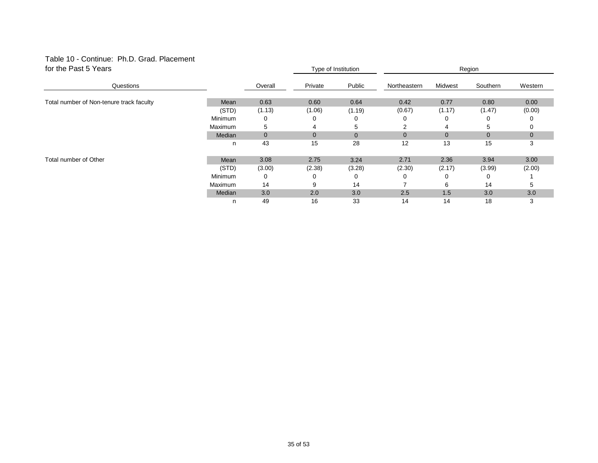#### Table 10 - Continue: Ph.D. Grad. Placement for the Past 5 Years

| for the Past 5 Years                     |         |             |                | Type of Institution |              | Region   |                |              |  |
|------------------------------------------|---------|-------------|----------------|---------------------|--------------|----------|----------------|--------------|--|
| Questions                                |         | Overall     | Private        | Public              | Northeastern | Midwest  | Southern       | Western      |  |
|                                          |         |             |                |                     |              |          |                |              |  |
| Total number of Non-tenure track faculty | Mean    | 0.63        | 0.60           | 0.64                | 0.42         | 0.77     | 0.80           | 0.00         |  |
|                                          | (STD)   | (1.13)      | (1.06)         | (1.19)              | (0.67)       | (1.17)   | (1.47)         | (0.00)       |  |
|                                          | Minimum | 0           |                | 0                   |              | 0        | 0              |              |  |
|                                          | Maximum | 5           | 4              | 5                   | 2            | 4        | 5              | 0            |  |
|                                          | Median  | $\mathbf 0$ | $\overline{0}$ | $\overline{0}$      |              | $\Omega$ | $\overline{0}$ | $\mathbf{0}$ |  |
|                                          | n       | 43          | 15             | 28                  | 12           | 13       | 15             | 3            |  |
| Total number of Other                    | Mean    | 3.08        | 2.75           | 3.24                | 2.71         | 2.36     | 3.94           | 3.00         |  |
|                                          | (STD)   | (3.00)      | (2.38)         | (3.28)              | (2.30)       | (2.17)   | (3.99)         | (2.00)       |  |
|                                          | Minimum | 0           |                | 0                   |              | $\Omega$ | 0              |              |  |
|                                          | Maximum | 14          | 9              | 14                  |              | 6        | 14             | 5            |  |
|                                          | Median  | 3.0         | 2.0            | 3.0                 | 2.5          | 1.5      | 3.0            | 3.0          |  |
|                                          | n       | 49          | 16             | 33                  | 14           | 14       | 18             | 3            |  |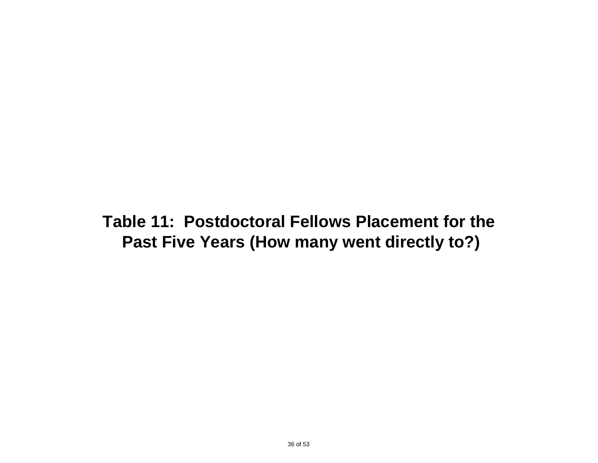**Table 11: Postdoctoral Fellows Placement for the Past Five Years (How many went directly to?)**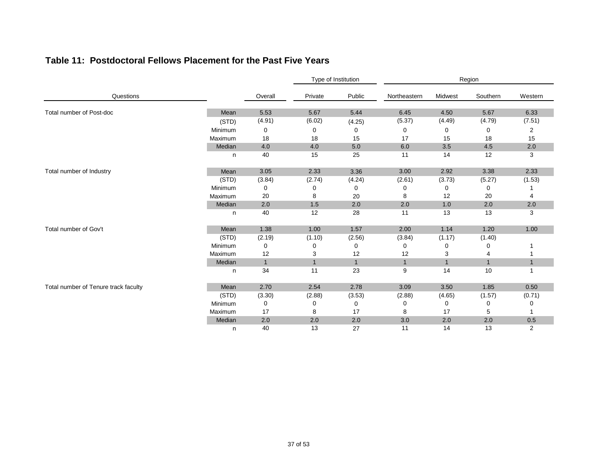|  | Table 11: Postdoctoral Fellows Placement for the Past Five Years |  |  |  |  |  |
|--|------------------------------------------------------------------|--|--|--|--|--|
|--|------------------------------------------------------------------|--|--|--|--|--|

|                                      |         |              | Type of Institution |                | Region       |              |              |                |  |
|--------------------------------------|---------|--------------|---------------------|----------------|--------------|--------------|--------------|----------------|--|
| Questions                            |         | Overall      | Private             | Public         | Northeastern | Midwest      | Southern     | Western        |  |
| Total number of Post-doc             | Mean    | 5.53         | 5.67                | 5.44           | 6.45         | 4.50         | 5.67         | 6.33           |  |
|                                      | (STD)   | (4.91)       | (6.02)              | (4.25)         | (5.37)       | (4.49)       | (4.79)       | (7.51)         |  |
|                                      | Minimum | 0            | 0                   | 0              | 0            | 0            | 0            | $\overline{c}$ |  |
|                                      | Maximum | 18           | 18                  | 15             | 17           | 15           | 18           | 15             |  |
|                                      | Median  | 4.0          | 4.0                 | 5.0            | 6.0          | 3.5          | 4.5          | 2.0            |  |
|                                      | n       | 40           | 15                  | 25             | 11           | 14           | 12           | 3              |  |
| Total number of Industry             | Mean    | $3.05$       | 2.33                | 3.36           | 3.00         | 2.92         | 3.38         | 2.33           |  |
|                                      | (STD)   | (3.84)       | (2.74)              | (4.24)         | (2.61)       | (3.73)       | (5.27)       | (1.53)         |  |
|                                      | Minimum | 0            | 0                   | 0              | 0            | 0            | 0            |                |  |
|                                      | Maximum | 20           | 8                   | 20             | 8            | 12           | 20           | 4              |  |
|                                      | Median  | 2.0          | 1.5                 | 2.0            | 2.0          | 1.0          | 2.0          | 2.0            |  |
|                                      | n       | 40           | 12                  | 28             | 11           | 13           | 13           | 3              |  |
| Total number of Gov't                | Mean    | 1.38         | 1.00                | 1.57           | 2.00         | 1.14         | 1.20         | 1.00           |  |
|                                      | (STD)   | (2.19)       | (1.10)              | (2.56)         | (3.84)       | (1.17)       | (1.40)       |                |  |
|                                      | Minimum | 0            | 0                   | 0              | 0            | 0            | 0            |                |  |
|                                      | Maximum | 12           | 3                   | 12             | 12           | 3            | 4            |                |  |
|                                      | Median  | $\mathbf{1}$ | $\mathbf{1}$        | $\overline{1}$ | $\mathbf{1}$ | $\mathbf{1}$ | $\mathbf{1}$ | $\mathbf{1}$   |  |
|                                      | n       | 34           | 11                  | 23             | 9            | 14           | 10           |                |  |
| Total number of Tenure track faculty | Mean    | 2.70         | 2.54                | 2.78           | 3.09         | 3.50         | 1.85         | 0.50           |  |
|                                      | (STD)   | (3.30)       | (2.88)              | (3.53)         | (2.88)       | (4.65)       | (1.57)       | (0.71)         |  |
|                                      | Minimum | 0            | 0                   | 0              | 0            | 0            | 0            | 0              |  |
|                                      | Maximum | 17           | 8                   | 17             | 8            | 17           | 5            |                |  |
|                                      | Median  | 2.0          | 2.0                 | 2.0            | 3.0          | 2.0          | 2.0          | 0.5            |  |
|                                      | n       | 40           | 13                  | 27             | 11           | 14           | 13           | $\overline{2}$ |  |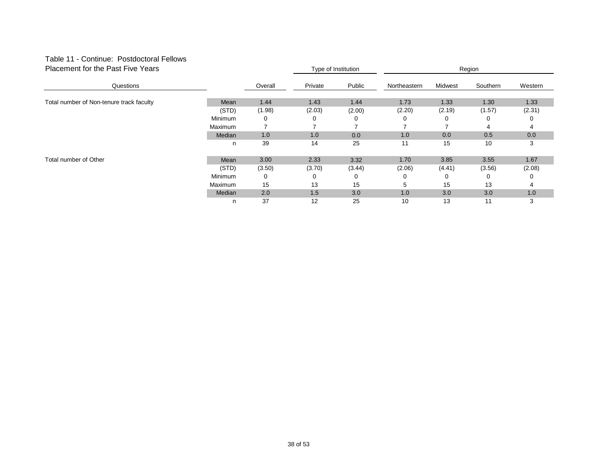#### Table 11 - Continue: Postdoctoral Fellows Placement for the Past Five Years

| Placement for the Past Five Years        |         | Type of Institution |         | Region |              |         |          |         |
|------------------------------------------|---------|---------------------|---------|--------|--------------|---------|----------|---------|
| Questions                                |         | Overall             | Private | Public | Northeastern | Midwest | Southern | Western |
|                                          |         |                     |         |        |              |         |          |         |
| Total number of Non-tenure track faculty | Mean    | 1.44                | 1.43    | 1.44   | 1.73         | 1.33    | 1.30     | 1.33    |
|                                          | (STD)   | (1.98)              | (2.03)  | (2.00) | (2.20)       | (2.19)  | (1.57)   | (2.31)  |
|                                          | Minimum | 0                   | 0       | 0      | 0            | 0       | 0        |         |
|                                          | Maximum | ⇁                   |         |        |              |         | 4        |         |
|                                          | Median  | 1.0                 | 1.0     | 0.0    | 1.0          | 0.0     | 0.5      | 0.0     |
|                                          | n       | 39                  | 14      | 25     | 11           | 15      | 10       | 3       |
| Total number of Other                    | Mean    | 3.00                | 2.33    | 3.32   | 1.70         | 3.85    | 3.55     | 1.67    |
|                                          | (STD)   | (3.50)              | (3.70)  | (3.44) | (2.06)       | (4.41)  | (3.56)   | (2.08)  |
|                                          | Minimum | 0                   | 0       |        |              | O       | 0        |         |
|                                          | Maximum | 15                  | 13      | 15     | 5            | 15      | 13       |         |
|                                          | Median  | 2.0                 | 1.5     | 3.0    | 1.0          | 3.0     | 3.0      | 1.0     |
|                                          | n       | 37                  | 12      | 25     | 10           | 13      | 11       | 3       |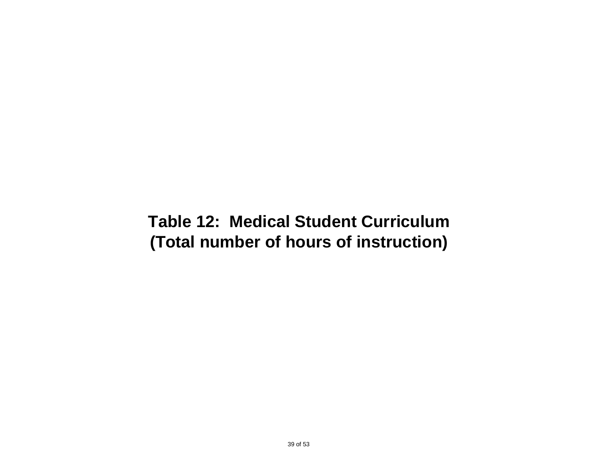## **Table 12: Medical Student Curriculum (Total number of hours of instruction)**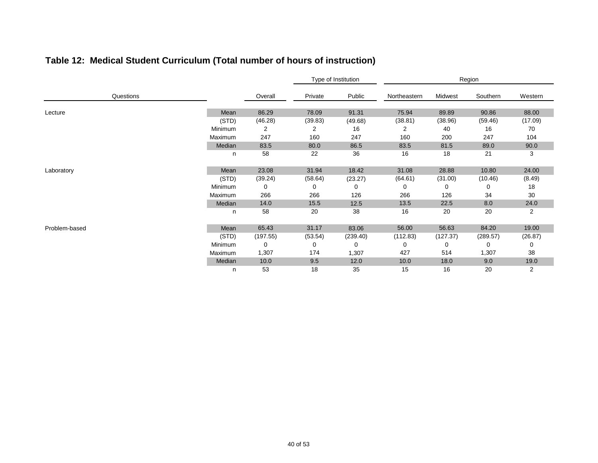|  | Table 12: Medical Student Curriculum (Total number of hours of instruction) |
|--|-----------------------------------------------------------------------------|
|--|-----------------------------------------------------------------------------|

|               |                |          | Type of Institution |          | Region       |          |          |                |  |
|---------------|----------------|----------|---------------------|----------|--------------|----------|----------|----------------|--|
| Questions     |                | Overall  | Private             | Public   | Northeastern | Midwest  | Southern | Western        |  |
| Lecture       | Mean           | 86.29    | 78.09               | 91.31    | 75.94        | 89.89    | 90.86    | 88.00          |  |
|               | (STD)          | (46.28)  | (39.83)             | (49.68)  | (38.81)      | (38.96)  | (59.46)  | (17.09)        |  |
|               | Minimum        | 2        | 2                   | 16       | 2            | 40       | 16       | 70             |  |
|               | Maximum        | 247      | 160                 | 247      | 160          | 200      | 247      | 104            |  |
|               | Median         | 83.5     | 80.0                | 86.5     | 83.5         | 81.5     | 89.0     | 90.0           |  |
|               | n              | 58       | 22                  | 36       | 16           | 18       | 21       | 3              |  |
| Laboratory    | Mean           | 23.08    | 31.94               | 18.42    | 31.08        | 28.88    | 10.80    | 24.00          |  |
|               | (STD)          | (39.24)  | (58.64)             | (23.27)  | (64.61)      | (31.00)  | (10.46)  | (8.49)         |  |
|               | Minimum        | 0        | 0                   | 0        | 0            | 0        | 0        | 18             |  |
|               | Maximum        | 266      | 266                 | 126      | 266          | 126      | 34       | 30             |  |
|               | Median         | 14.0     | 15.5                | 12.5     | 13.5         | 22.5     | 8.0      | 24.0           |  |
|               | n              | 58       | 20                  | 38       | 16           | 20       | 20       | $\overline{2}$ |  |
| Problem-based | Mean           | 65.43    | 31.17               | 83.06    | 56.00        | 56.63    | 84.20    | 19.00          |  |
|               | (STD)          | (197.55) | (53.54)             | (239.40) | (112.83)     | (127.37) | (289.57) | (26.87)        |  |
|               | Minimum        | 0        | 0                   | 0        | 0            | 0        | 0        | 0              |  |
|               | <b>Maximum</b> | 1,307    | 174                 | 1,307    | 427          | 514      | 1,307    | 38             |  |
|               | Median         | 10.0     | 9.5                 | 12.0     | 10.0         | 18.0     | 9.0      | 19.0           |  |
|               | n              | 53       | 18                  | 35       | 15           | 16       | 20       | $\overline{2}$ |  |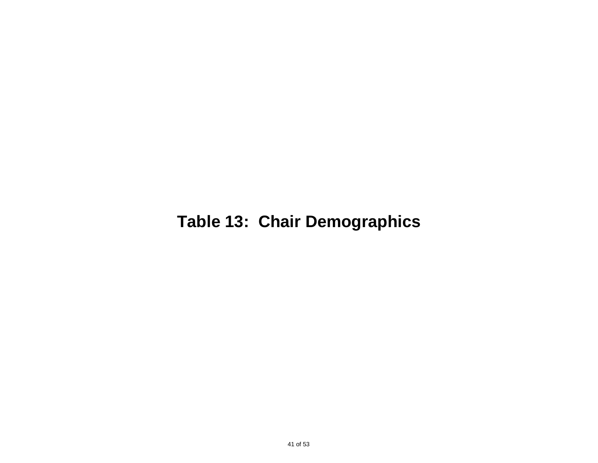## **Table 13: Chair Demographics**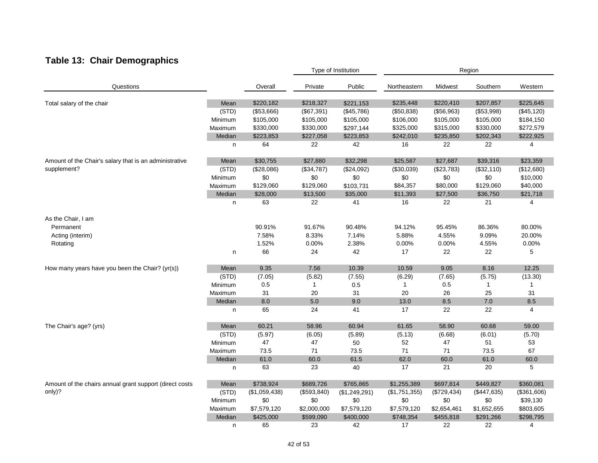### **Table 13: Chair Demographics**

|                                                         |         |               |              | Type of Institution |               | Region      |              |             |  |
|---------------------------------------------------------|---------|---------------|--------------|---------------------|---------------|-------------|--------------|-------------|--|
| Questions                                               |         | Overall       | Private      | Public              | Northeastern  | Midwest     | Southern     | Western     |  |
| Total salary of the chair                               | Mean    | \$220,182     | \$218,327    | \$221,153           | \$235,448     | \$220,410   | \$207,857    | \$225,645   |  |
|                                                         | (STD)   | (\$53,666)    | (\$67,391)   | (\$45,786)          | (\$50,838)    | (\$56,963)  | (\$53,998)   | (\$45,120)  |  |
|                                                         | Minimum | \$105,000     | \$105,000    | \$105,000           | \$106,000     | \$105,000   | \$105,000    | \$184,150   |  |
|                                                         | Maximum | \$330,000     | \$330,000    | \$297,144           | \$325,000     | \$315,000   | \$330,000    | \$272,579   |  |
|                                                         | Median  | \$223,853     | \$227,058    | \$223,853           | \$242,010     | \$235,850   | \$202,343    | \$222,925   |  |
|                                                         | n       | 64            | 22           | 42                  | 16            | 22          | 22           | 4           |  |
| Amount of the Chair's salary that is an administrative  | Mean    | \$30,755      | \$27,880     | \$32,298            | \$25,587      | \$27,687    | \$39,316     | \$23,359    |  |
| supplement?                                             | (STD)   | (\$28,086)    | (\$34,787)   | (\$24,092)          | (\$30,039)    | (\$23,783)  | (\$32,110)   | (\$12,680)  |  |
|                                                         | Minimum | \$0           | \$0          | \$0                 | \$0           | \$0         | \$0          | \$10,000    |  |
|                                                         | Maximum | \$129,060     | \$129,060    | \$103,731           | \$84,357      | \$80,000    | \$129,060    | \$40,000    |  |
|                                                         | Median  | \$28,000      | \$13,500     | \$35,000            | \$11,393      | \$27,500    | \$36,750     | \$21,718    |  |
|                                                         | n       | 63            | 22           | 41                  | 16            | 22          | 21           | 4           |  |
| As the Chair, I am                                      |         |               |              |                     |               |             |              |             |  |
| Permanent                                               |         | 90.91%        | 91.67%       | 90.48%              | 94.12%        | 95.45%      | 86.36%       | 80.00%      |  |
| Acting (interim)                                        |         | 7.58%         | 8.33%        | 7.14%               | 5.88%         | 4.55%       | 9.09%        | 20.00%      |  |
| Rotating                                                |         | 1.52%         | 0.00%        | 2.38%               | 0.00%         | 0.00%       | 4.55%        | 0.00%       |  |
|                                                         | n       | 66            | 24           | 42                  | 17            | 22          | 22           | 5           |  |
| How many years have you been the Chair? (yr(s))         | Mean    | 9.35          | 7.56         | 10.39               | 10.59         | 9.05        | 8.16         | 12.25       |  |
|                                                         | (STD)   | (7.05)        | (5.82)       | (7.55)              | (6.29)        | (7.65)      | (5.75)       | (13.30)     |  |
|                                                         | Minimum | 0.5           | $\mathbf{1}$ | 0.5                 | $\mathbf{1}$  | 0.5         | $\mathbf{1}$ | 1           |  |
|                                                         | Maximum | 31            | 20           | 31                  | 20            | 26          | 25           | 31          |  |
|                                                         | Median  | 8.0           | 5.0          | 9.0                 | 13.0          | 8.5         | 7.0          | 8.5         |  |
|                                                         | n       | 65            | 24           | 41                  | 17            | 22          | 22           | 4           |  |
| The Chair's age? (yrs)                                  | Mean    | 60.21         | 58.96        | 60.94               | 61.65         | 58.90       | 60.68        | 59.00       |  |
|                                                         | (STD)   | (5.97)        | (6.05)       | (5.89)              | (5.13)        | (6.68)      | (6.01)       | (5.70)      |  |
|                                                         | Minimum | 47            | 47           | 50                  | 52            | 47          | 51           | 53          |  |
|                                                         | Maximum | 73.5          | 71           | 73.5                | 71            | 71          | 73.5         | 67          |  |
|                                                         | Median  | 61.0          | 60.0         | 61.5                | 62.0          | 60.0        | 61.0         | 60.0        |  |
|                                                         | n       | 63            | 23           | 40                  | 17            | 21          | 20           | 5           |  |
| Amount of the chairs annual grant support (direct costs | Mean    | \$738,924     | \$689,726    | \$765,865           | \$1,255,389   | \$697,814   | \$449,827    | \$360,081   |  |
| only)?                                                  | (STD)   | (\$1,059,438) | (\$593, 840) | (\$1,249,291)       | (\$1,751,355) | (\$729,434) | (\$447,635)  | (\$361,606) |  |
|                                                         | Minimum | \$0           | \$0          | \$0                 | \$0           | \$0         | \$0          | \$39,130    |  |
|                                                         | Maximum | \$7,579,120   | \$2,000,000  | \$7,579,120         | \$7,579,120   | \$2,654,461 | \$1,652,655  | \$803,605   |  |
|                                                         | Median  | \$425,000     | \$599,090    | \$400,000           | \$748,354     | \$455,818   | \$291,266    | \$298,795   |  |
|                                                         | n       | 65            | 23           | 42                  | 17            | 22          | 22           | 4           |  |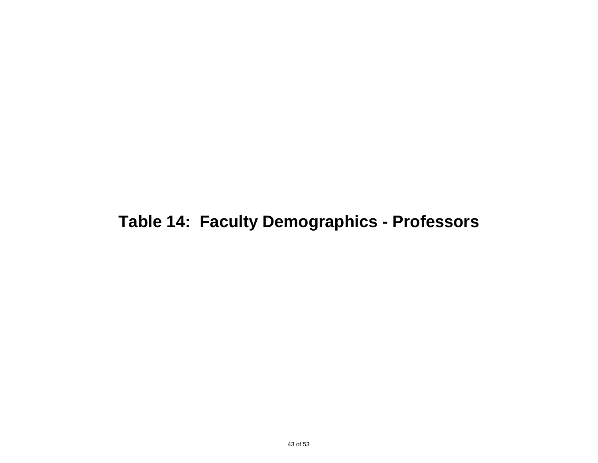## **Table 14: Faculty Demographics - Professors**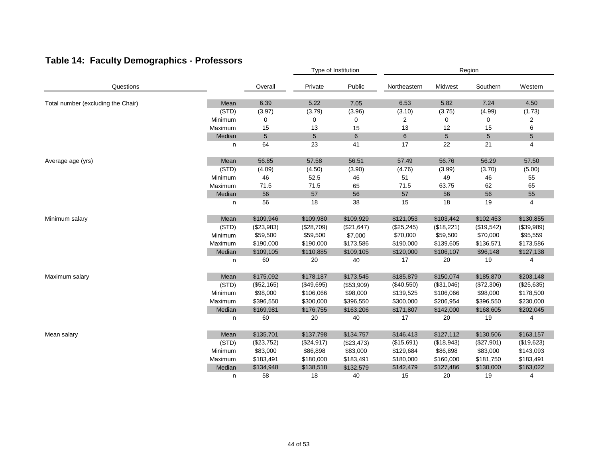|                                    |         |            | Type of Institution |            | Region       |            |            |                |  |
|------------------------------------|---------|------------|---------------------|------------|--------------|------------|------------|----------------|--|
| Questions                          |         | Overall    | Private             | Public     | Northeastern | Midwest    | Southern   | Western        |  |
| Total number (excluding the Chair) | Mean    | 6.39       | 5.22                | 7.05       | 6.53         | 5.82       | 7.24       | 4.50           |  |
|                                    | (STD)   | (3.97)     | (3.79)              | (3.96)     | (3.10)       | (3.75)     | (4.99)     | (1.73)         |  |
|                                    | Minimum | 0          | 0                   | 0          | 2            | 0          | 0          | $\overline{2}$ |  |
|                                    | Maximum | 15         | 13                  | 15         | 13           | 12         | 15         | 6              |  |
|                                    | Median  | $\sqrt{5}$ | $5\phantom{.0}$     | $\,6\,$    | 6            | $\sqrt{5}$ | 5          | 5              |  |
|                                    | n       | 64         | 23                  | 41         | 17           | 22         | 21         | 4              |  |
| Average age (yrs)                  | Mean    | 56.85      | 57.58               | 56.51      | 57.49        | 56.76      | 56.29      | 57.50          |  |
|                                    | (STD)   | (4.09)     | (4.50)              | (3.90)     | (4.76)       | (3.99)     | (3.70)     | (5.00)         |  |
|                                    | Minimum | 46         | 52.5                | 46         | 51           | 49         | 46         | 55             |  |
|                                    | Maximum | 71.5       | 71.5                | 65         | 71.5         | 63.75      | 62         | 65             |  |
|                                    | Median  | 56         | 57                  | 56         | 57           | 56         | 56         | 55             |  |
|                                    | n       | 56         | 18                  | 38         | 15           | 18         | 19         | 4              |  |
| Minimum salary                     | Mean    | \$109,946  | \$109,980           | \$109,929  | \$121,053    | \$103,442  | \$102,453  | \$130,855      |  |
|                                    | (STD)   | (\$23,983) | (\$28,709)          | (\$21,647) | (\$25,245)   | (\$18,221) | (\$19,542) | (\$39,989)     |  |
|                                    | Minimum | \$59,500   | \$59,500            | \$7,000    | \$70,000     | \$59,500   | \$70,000   | \$95,559       |  |
|                                    | Maximum | \$190,000  | \$190,000           | \$173,586  | \$190,000    | \$139,605  | \$136,571  | \$173,586      |  |
|                                    | Median  | \$109,105  | \$110,885           | \$109,105  | \$120,000    | \$106,107  | \$96,148   | \$127,138      |  |
|                                    | n       | 60         | 20                  | 40         | 17           | 20         | 19         | $\overline{4}$ |  |
| Maximum salary                     | Mean    | \$175,092  | \$178,187           | \$173,545  | \$185,879    | \$150,074  | \$185,870  | \$203,148      |  |
|                                    | (STD)   | (\$52,165) | (\$49,695)          | (\$53,909) | (\$40,550)   | (\$31,046) | (\$72,306) | (\$25,635)     |  |
|                                    | Minimum | \$98,000   | \$106,066           | \$98,000   | \$139,525    | \$106,066  | \$98,000   | \$178,500      |  |
|                                    | Maximum | \$396,550  | \$300,000           | \$396,550  | \$300,000    | \$206,954  | \$396,550  | \$230,000      |  |
|                                    | Median  | \$169,981  | \$176,755           | \$163,206  | \$171,807    | \$142,000  | \$168,605  | \$202,045      |  |
|                                    | n       | 60         | 20                  | 40         | 17           | 20         | 19         | 4              |  |
| Mean salary                        | Mean    | \$135,701  | \$137,798           | \$134,757  | \$146,413    | \$127,112  | \$130,506  | \$163,157      |  |
|                                    | (STD)   | (\$23,752) | (\$24,917)          | (\$23,473) | (\$15,691)   | (\$18,943) | (\$27,901) | (\$19,623)     |  |
|                                    | Minimum | \$83,000   | \$86,898            | \$83,000   | \$129,684    | \$86,898   | \$83,000   | \$143,093      |  |
|                                    | Maximum | \$183,491  | \$180,000           | \$183,491  | \$180,000    | \$160,000  | \$181,750  | \$183,491      |  |
|                                    | Median  | \$134,948  | \$138,518           | \$132,579  | \$142,479    | \$127,486  | \$130,000  | \$163,022      |  |
|                                    | n       | 58         | 18                  | 40         | 15           | 20         | 19         | 4              |  |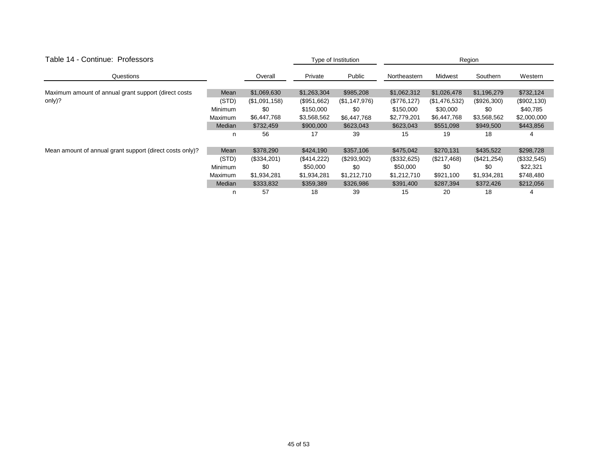| Table 14 - Continue: Professors                          |                | Type of Institution |             | Region        |              |               |               |              |
|----------------------------------------------------------|----------------|---------------------|-------------|---------------|--------------|---------------|---------------|--------------|
| Questions                                                |                | Overall             | Private     | Public        | Northeastern | Midwest       | Southern      | Western      |
|                                                          |                |                     |             |               |              |               |               |              |
| Maximum amount of annual grant support (direct costs)    | Mean           | \$1,069,630         | \$1,263,304 | \$985,208     | \$1,062,312  | \$1,026,478   | \$1,196,279   | \$732,124    |
| only)?                                                   | (STD)          | (\$1,091,158)       | (\$951,662) | (\$1,147,976) | (\$776, 127) | (\$1,476,532) | $(\$926,300)$ | (\$902, 130) |
|                                                          | <b>Minimum</b> | \$0                 | \$150,000   | \$0           | \$150,000    | \$30,000      | \$0           | \$40,785     |
|                                                          | Maximum        | \$6,447,768         | \$3,568,562 | \$6,447,768   | \$2,779,201  | \$6,447,768   | \$3,568,562   | \$2,000,000  |
|                                                          | Median         | \$732,459           | \$900,000   | \$623,043     | \$623,043    | \$551,098     | \$949,500     | \$443,856    |
|                                                          | n              | 56                  | 17          | 39            | 15           | 19            | 18            | 4            |
| Mean amount of annual grant support (direct costs only)? | Mean           | \$378,290           | \$424,190   | \$357,106     | \$475,042    | \$270,131     | \$435,522     | \$298,728    |
|                                                          | (STD)          | (\$334,201)         | (\$414,222) | (\$293,902)   | (\$332,625)  | (\$217,468)   | (\$421,254)   | (\$332,545)  |
|                                                          | <b>Minimum</b> | \$0                 | \$50,000    | \$0           | \$50,000     | \$0           | \$0           | \$22,321     |
|                                                          | Maximum        | \$1,934,281         | \$1,934,281 | \$1,212,710   | \$1,212,710  | \$921,100     | \$1,934,281   | \$748,480    |
|                                                          | Median         | \$333,832           | \$359,389   | \$326,986     | \$391,400    | \$287,394     | \$372,426     | \$212,056    |
|                                                          | n              | 57                  | 18          | 39            | 15           | 20            | 18            | 4            |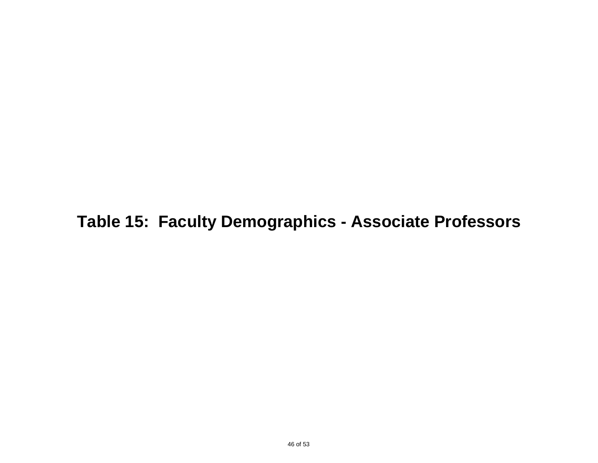**Table 15: Faculty Demographics - Associate Professors**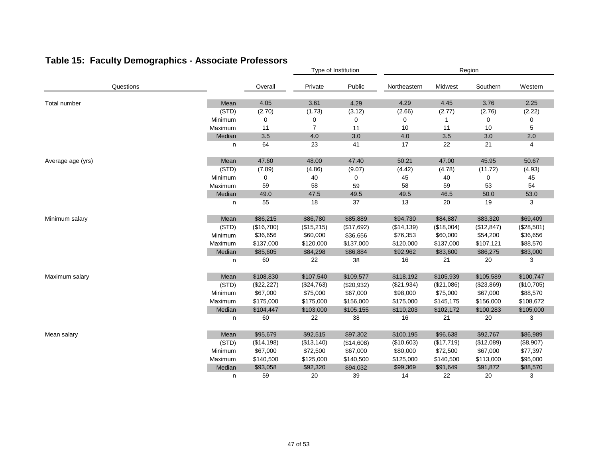|                   |         |             |                | Type of Institution | Region       |            |            |            |  |
|-------------------|---------|-------------|----------------|---------------------|--------------|------------|------------|------------|--|
| Questions         |         | Overall     | Private        | Public              | Northeastern | Midwest    | Southern   | Western    |  |
| Total number      | Mean    | 4.05        | 3.61           | 4.29                | 4.29         | 4.45       | 3.76       | 2.25       |  |
|                   | (STD)   | (2.70)      | (1.73)         | (3.12)              | (2.66)       | (2.77)     | (2.76)     | (2.22)     |  |
|                   | Minimum | 0           | 0              | 0                   | 0            |            | 0          | 0          |  |
|                   | Maximum | 11          | $\overline{7}$ | 11                  | 10           | 11         | 10         | 5          |  |
|                   | Median  | 3.5         | 4.0            | 3.0                 | 4.0          | 3.5        | 3.0        | 2.0        |  |
|                   | n       | 64          | 23             | 41                  | 17           | 22         | 21         | 4          |  |
| Average age (yrs) | Mean    | 47.60       | 48.00          | 47.40               | 50.21        | 47.00      | 45.95      | 50.67      |  |
|                   | (STD)   | (7.89)      | (4.86)         | (9.07)              | (4.42)       | (4.78)     | (11.72)    | (4.93)     |  |
|                   | Minimum | 0           | 40             | 0                   | 45           | 40         | 0          | 45         |  |
|                   | Maximum | 59          | 58             | 59                  | 58           | 59         | 53         | 54         |  |
|                   | Median  | 49.0        | 47.5           | 49.5                | 49.5         | 46.5       | 50.0       | 53.0       |  |
|                   | n       | 55          | 18             | 37                  | 13           | 20         | 19         | 3          |  |
| Minimum salary    | Mean    | \$86,215    | \$86,780       | \$85,889            | \$94,730     | \$84,887   | \$83,320   | \$69,409   |  |
|                   | (STD)   | (\$16,700)  | (\$15,215)     | (\$17,692)          | (\$14, 139)  | (\$18,004) | (\$12,847) | (\$28,501) |  |
|                   | Minimum | \$36,656    | \$60,000       | \$36,656            | \$76,353     | \$60,000   | \$54,200   | \$36,656   |  |
|                   | Maximum | \$137,000   | \$120,000      | \$137,000           | \$120,000    | \$137,000  | \$107,121  | \$88,570   |  |
|                   | Median  | \$85,605    | \$84,298       | \$86,884            | \$92,962     | \$83,600   | \$86,275   | \$83,000   |  |
|                   | n       | 60          | 22             | 38                  | 16           | 21         | 20         | 3          |  |
| Maximum salary    | Mean    | \$108,830   | \$107,540      | \$109,577           | \$118,192    | \$105,939  | \$105,589  | \$100,747  |  |
|                   | (STD)   | (\$22, 227) | (\$24,763)     | (\$20,932)          | (\$21,934)   | (\$21,086) | (\$23,869) | (\$10,705) |  |
|                   | Minimum | \$67,000    | \$75,000       | \$67,000            | \$98,000     | \$75,000   | \$67,000   | \$88,570   |  |
|                   | Maximum | \$175,000   | \$175,000      | \$156,000           | \$175,000    | \$145,175  | \$156,000  | \$108,672  |  |
|                   | Median  | \$104,447   | \$103,000      | \$105,155           | \$110,203    | \$102,172  | \$100,283  | \$105,000  |  |
|                   | n       | 60          | 22             | 38                  | 16           | 21         | 20         | 3          |  |
| Mean salary       | Mean    | \$95,679    | \$92,515       | \$97,302            | \$100,195    | \$96,638   | \$92,767   | \$86,989   |  |
|                   | (STD)   | (\$14,198)  | (\$13,140)     | (\$14,608)          | (\$10,603)   | (\$17,719) | (\$12,089) | (\$8,907)  |  |
|                   | Minimum | \$67,000    | \$72,500       | \$67,000            | \$80,000     | \$72,500   | \$67,000   | \$77,397   |  |
|                   | Maximum | \$140,500   | \$125,000      | \$140,500           | \$125,000    | \$140,500  | \$113,000  | \$95,000   |  |
|                   | Median  | \$93,058    | \$92,320       | \$94,032            | \$99,369     | \$91,649   | \$91,872   | \$88,570   |  |
|                   | n       | 59          | 20             | 39                  | 14           | 22         | 20         | 3          |  |

### **Table 15: Faculty Demographics - Associate Professors**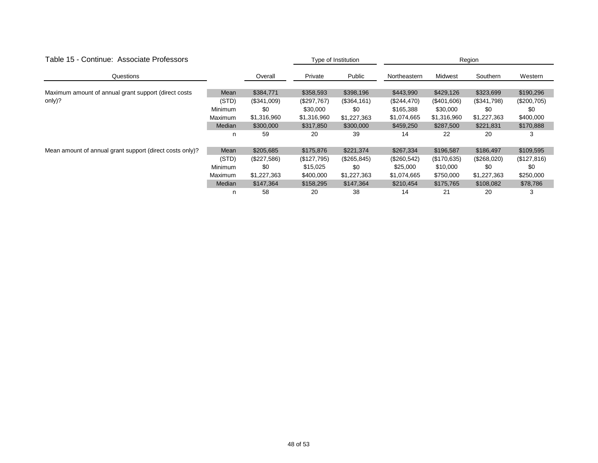| Table 15 - Continue: Associate Professors                |                |             | Type of Institution |              | Region       |             |             |             |  |
|----------------------------------------------------------|----------------|-------------|---------------------|--------------|--------------|-------------|-------------|-------------|--|
| Questions                                                |                | Overall     | Private             | Public       | Northeastern | Midwest     | Southern    | Western     |  |
|                                                          |                |             |                     |              |              |             |             |             |  |
| Maximum amount of annual grant support (direct costs     | Mean           | \$384,771   | \$358,593           | \$398,196    | \$443,990    | \$429,126   | \$323,699   | \$190,296   |  |
| only)?                                                   | (STD)          | (\$341,009) | (\$297,767)         | (\$364,161)  | (\$244,470)  | (\$401,606) | (\$341,798) | (\$200,705) |  |
|                                                          | <b>Minimum</b> | \$0         | \$30,000            | \$0          | \$165,388    | \$30,000    | \$0         | \$0         |  |
|                                                          | Maximum        | \$1,316,960 | \$1,316,960         | \$1,227,363  | \$1,074,665  | \$1,316,960 | \$1,227,363 | \$400,000   |  |
|                                                          | Median         | \$300,000   | \$317,850           | \$300,000    | \$459,250    | \$287,500   | \$221,831   | \$170,888   |  |
|                                                          | n              | 59          | 20                  | 39           | 14           | 22          | 20          | 3           |  |
| Mean amount of annual grant support (direct costs only)? | Mean           | \$205,685   | \$175,876           | \$221,374    | \$267,334    | \$196,587   | \$186,497   | \$109,595   |  |
|                                                          | (STD)          | (\$227,586) | (\$127,795)         | (\$265, 845) | (\$260,542)  | (\$170,635) | (\$268,020) | (\$127,816) |  |
|                                                          | Minimum        | \$0         | \$15,025            | \$0          | \$25,000     | \$10,000    | \$0         | \$0         |  |
|                                                          | Maximum        | \$1,227,363 | \$400,000           | \$1,227,363  | \$1,074,665  | \$750,000   | \$1,227,363 | \$250,000   |  |
|                                                          | Median         | \$147,364   | \$158,295           | \$147,364    | \$210,454    | \$175,765   | \$108,082   | \$78,786    |  |
|                                                          | n              | 58          | 20                  | 38           | 14           | 21          | 20          | 3           |  |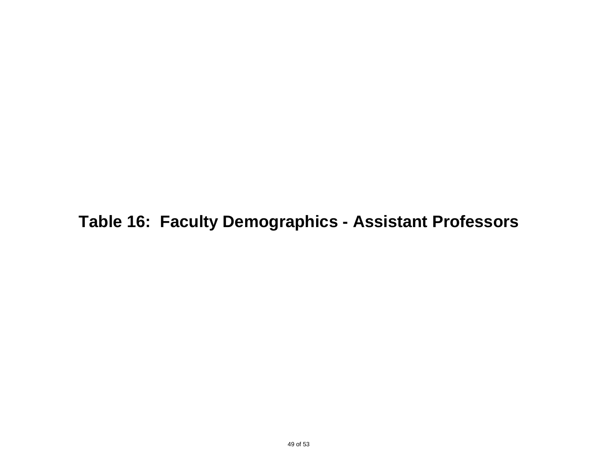**Table 16: Faculty Demographics - Assistant Professors**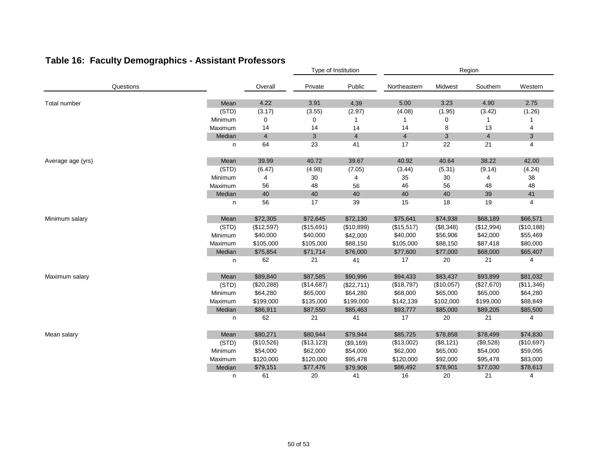|                   |         |                | Type of Institution |                | Region         |            |                |              |  |
|-------------------|---------|----------------|---------------------|----------------|----------------|------------|----------------|--------------|--|
| Questions         |         | Overall        | Private             | Public         | Northeastern   | Midwest    | Southern       | Western      |  |
| Total number      | Mean    | 4.22           | 3.91                | 4.39           | 5.00           | 3.23       | 4.90           | 2.75         |  |
|                   | (STD)   | (3.17)         | (3.55)              | (2.97)         | (4.08)         | (1.95)     | (3.42)         | (1.26)       |  |
|                   | Minimum | 0              | 0                   | 1              |                | 0          | 1              |              |  |
|                   | Maximum | 14             | 14                  | 14             | 14             | 8          | 13             | 4            |  |
|                   | Median  | $\overline{4}$ | $\mathbf{3}$        | $\overline{4}$ | $\overline{4}$ | 3          | $\overline{4}$ | $\mathbf{3}$ |  |
|                   | n       | 64             | 23                  | 41             | 17             | 22         | 21             | 4            |  |
| Average age (yrs) | Mean    | 39.99          | 40.72               | 39.67          | 40.92          | 40.64      | 38.22          | 42.00        |  |
|                   | (STD)   | (6.47)         | (4.98)              | (7.05)         | (3.44)         | (5.31)     | (9.14)         | (4.24)       |  |
|                   | Minimum | 4              | 30                  | 4              | 35             | 30         | 4              | 38           |  |
|                   | Maximum | 56             | 48                  | 56             | 46             | 56         | 48             | 48           |  |
|                   | Median  | 40             | 40                  | 40             | 40             | 40         | 39             | 41           |  |
|                   | n       | 56             | 17                  | 39             | 15             | 18         | 19             | 4            |  |
| Minimum salary    | Mean    | \$72,305       | \$72,645            | \$72,130       | \$75,641       | \$74,938   | \$68,189       | \$66,571     |  |
|                   | (STD)   | (\$12,597)     | (\$15,691)          | (\$10,899)     | (\$15,517)     | (\$8,348)  | (\$12,994)     | (\$10,188)   |  |
|                   | Minimum | \$40,000       | \$40,000            | \$42,000       | \$40,000       | \$56,906   | \$42,000       | \$55,469     |  |
|                   | Maximum | \$105,000      | \$105,000           | \$88,150       | \$105,000      | \$88,150   | \$87,418       | \$80,000     |  |
|                   | Median  | \$75,854       | \$71,714            | \$76,000       | \$77,600       | \$77,000   | \$68,000       | \$65,407     |  |
|                   | n       | 62             | 21                  | 41             | 17             | 20         | 21             | 4            |  |
| Maximum salary    | Mean    | \$89,840       | \$87,585            | \$90,996       | \$94,433       | \$83,437   | \$93,899       | \$81,032     |  |
|                   | (STD)   | $(\$20,288)$   | (\$14,687)          | (\$22,711)     | (\$18,797)     | (\$10,057) | (\$27,670)     | (\$11,346)   |  |
|                   | Minimum | \$64,280       | \$65,000            | \$64,280       | \$68,000       | \$65,000   | \$65,000       | \$64,280     |  |
|                   | Maximum | \$199,000      | \$135,000           | \$199,000      | \$142,139      | \$102,000  | \$199,000      | \$88,849     |  |
|                   | Median  | \$86,911       | \$87,550            | \$85,463       | \$93,777       | \$85,000   | \$89,205       | \$85,500     |  |
|                   | n       | 62             | 21                  | 41             | 17             | 20         | 21             | 4            |  |
| Mean salary       | Mean    | \$80,271       | \$80,944            | \$79,944       | \$85,725       | \$78,858   | \$78,499       | \$74,830     |  |
|                   | (STD)   | (\$10,526)     | (\$13, 123)         | (\$9,169)      | (\$13,002)     | (\$8,121)  | (\$9,528)      | (\$10,697)   |  |
|                   | Minimum | \$54,000       | \$62,000            | \$54,000       | \$62,000       | \$65,000   | \$54,000       | \$59,095     |  |
|                   | Maximum | \$120,000      | \$120,000           | \$95,478       | \$120,000      | \$92,000   | \$95,478       | \$83,000     |  |
|                   | Median  | \$79,151       | \$77,476            | \$79,908       | \$86,492       | \$78,901   | \$77,030       | \$78,613     |  |
|                   | n       | 61             | 20                  | 41             | 16             | 20         | 21             | 4            |  |

### **Table 16: Faculty Demographics - Assistant Professors**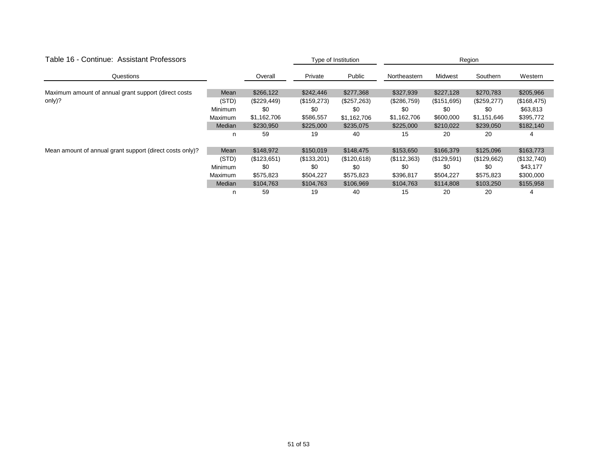| Table 16 - Continue: Assistant Professors                |                |             | Type of Institution |             | Region       |             |             |              |  |
|----------------------------------------------------------|----------------|-------------|---------------------|-------------|--------------|-------------|-------------|--------------|--|
| Questions                                                |                | Overall     | Private             | Public      | Northeastern | Midwest     | Southern    | Western      |  |
|                                                          |                |             |                     |             |              |             |             |              |  |
| Maximum amount of annual grant support (direct costs     | Mean           | \$266,122   | \$242,446           | \$277,368   | \$327,939    | \$227,128   | \$270,783   | \$205,966    |  |
| only)?                                                   | (STD)          | (\$229,449) | (\$159,273)         | (\$257,263) | (\$286,759)  | (\$151,695) | (\$259,277) | (\$168, 475) |  |
|                                                          | <b>Minimum</b> | \$0         | \$0                 | \$0         | \$0          | \$0         | \$0         | \$63,813     |  |
|                                                          | Maximum        | \$1,162,706 | \$586,557           | \$1,162,706 | \$1,162,706  | \$600,000   | \$1,151,646 | \$395,772    |  |
|                                                          | Median         | \$230,950   | \$225,000           | \$235,075   | \$225,000    | \$210,022   | \$239,050   | \$182,140    |  |
|                                                          | n              | 59          | 19                  | 40          | 15           | 20          | 20          | 4            |  |
| Mean amount of annual grant support (direct costs only)? | Mean           | \$148,972   | \$150,019           | \$148,475   | \$153,650    | \$166,379   | \$125,096   | \$163,773    |  |
|                                                          | (STD)          | (\$123,651) | (\$133,201)         | (\$120,618) | (\$112,363)  | (\$129,591) | (\$129,662) | (\$132,740)  |  |
|                                                          | <b>Minimum</b> | \$0         | \$0                 | \$0         | \$0          | \$0         | \$0         | \$43,177     |  |
|                                                          | Maximum        | \$575,823   | \$504,227           | \$575,823   | \$396,817    | \$504,227   | \$575,823   | \$300,000    |  |
|                                                          | Median         | \$104,763   | \$104,763           | \$106,969   | \$104,763    | \$114,808   | \$103,250   | \$155,958    |  |
|                                                          | n              | 59          | 19                  | 40          | 15           | 20          | 20          | 4            |  |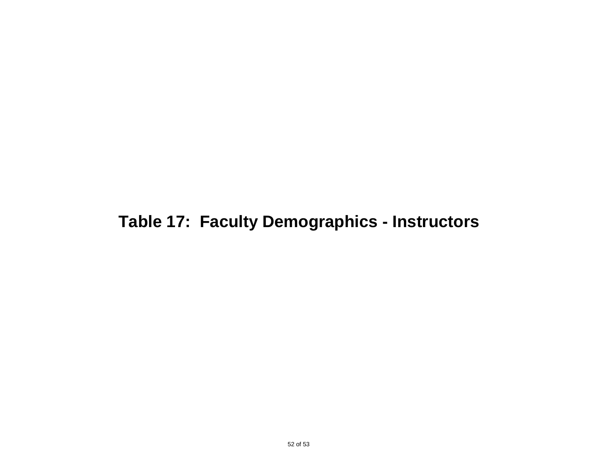## **Table 17: Faculty Demographics - Instructors**